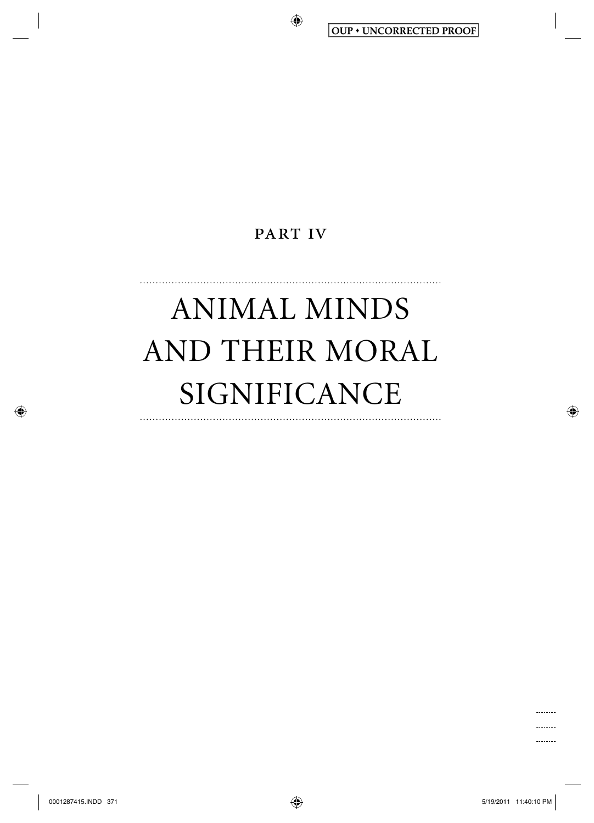## part iv

⊕

# ANIMAL MINDS AND THEIR MORAL SIGNIFICANCE

⊕

. . . . . . . .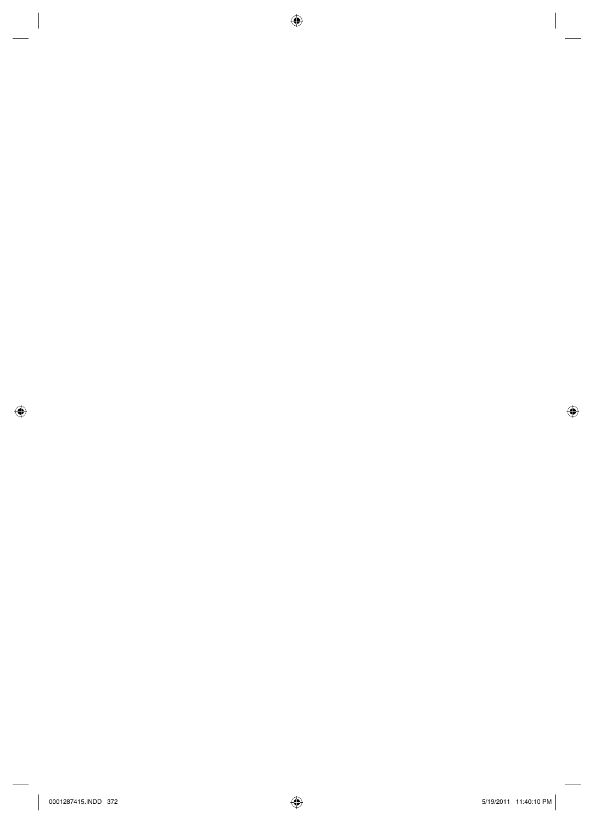

 $\overline{\phantom{a}}$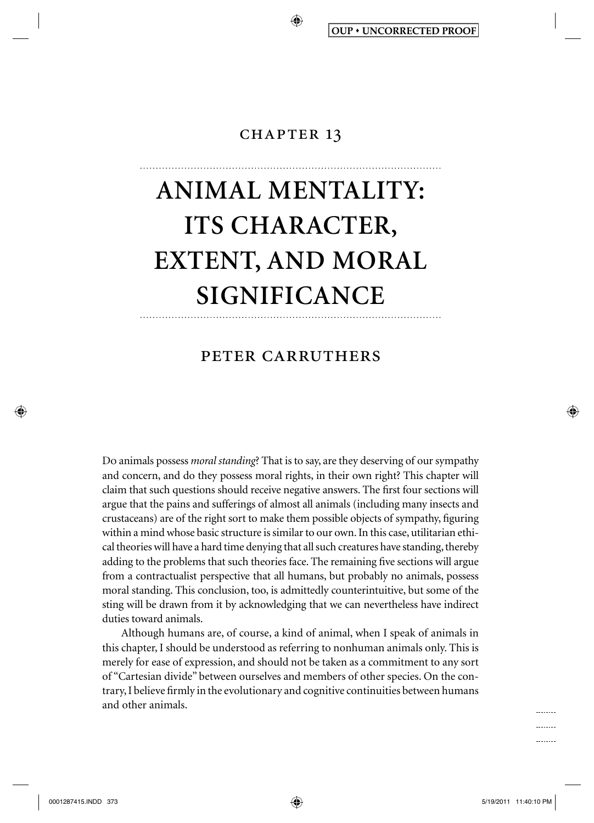OUP . UNCORRECTED PROOF

### CHAPTER 13

♠

# **ANIMAL MENTALITY: ITS CHARACTER, EXTENT, AND MORAL SIGNIFICANCE**

## PETER CARRUTHERS

Do animals possess *moral standing*? That is to say, are they deserving of our sympathy and concern, and do they possess moral rights, in their own right? This chapter will claim that such questions should receive negative answers. The first four sections will argue that the pains and sufferings of almost all animals (including many insects and crustaceans) are of the right sort to make them possible objects of sympathy, figuring within a mind whose basic structure is similar to our own. In this case, utilitarian ethical theories will have a hard time denying that all such creatures have standing, thereby adding to the problems that such theories face. The remaining five sections will argue from a contractualist perspective that all humans, but probably no animals, possess moral standing. This conclusion, too, is admittedly counterintuitive, but some of the sting will be drawn from it by acknowledging that we can nevertheless have indirect duties toward animals.

 Although humans are, of course, a kind of animal, when I speak of animals in this chapter, I should be understood as referring to nonhuman animals only. This is merely for ease of expression, and should not be taken as a commitment to any sort of "Cartesian divide" between ourselves and members of other species. On the contrary, I believe firmly in the evolutionary and cognitive continuities between humans and other animals.

⊕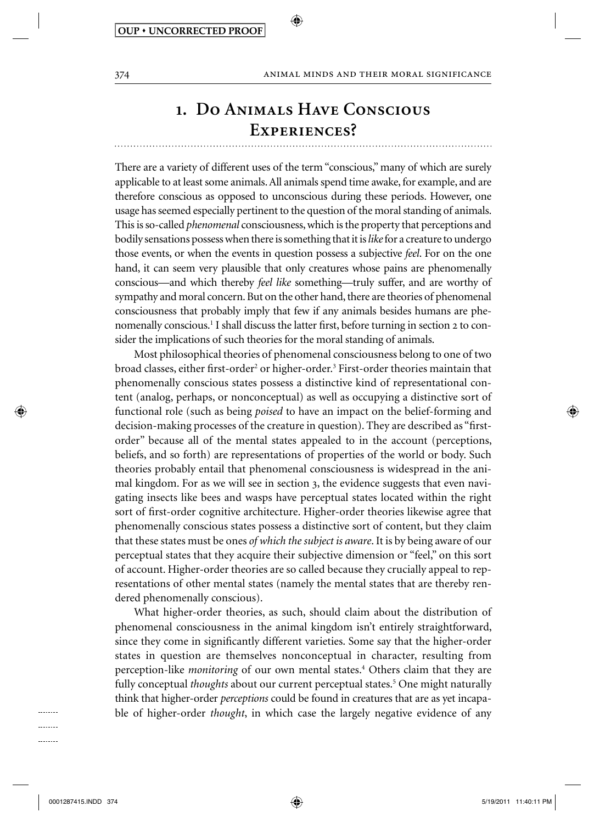## **1. Do Animals Have Conscious Experiences?**

♠

 There are a variety of different uses of the term "conscious," many of which are surely applicable to at least some animals. All animals spend time awake, for example, and are therefore conscious as opposed to unconscious during these periods. However, one usage has seemed especially pertinent to the question of the moral standing of animals. This is so-called *phenomenal* consciousness, which is the property that perceptions and bodily sensations possess when there is something that it is *like* for a creature to undergo those events, or when the events in question possess a subjective *feel* . For on the one hand, it can seem very plausible that only creatures whose pains are phenomenally conscious—and which thereby *feel like* something—truly suffer, and are worthy of sympathy and moral concern. But on the other hand, there are theories of phenomenal consciousness that probably imply that few if any animals besides humans are phenomenally conscious.<sup>1</sup> I shall discuss the latter first, before turning in section 2 to consider the implications of such theories for the moral standing of animals.

 Most philosophical theories of phenomenal consciousness belong to one of two broad classes, either first-order<sup>2</sup> or higher-order.<sup>3</sup> First-order theories maintain that phenomenally conscious states possess a distinctive kind of representational content (analog, perhaps, or nonconceptual) as well as occupying a distinctive sort of functional role (such as being *poised* to have an impact on the belief-forming and decision-making processes of the creature in question). They are described as "firstorder" because all of the mental states appealed to in the account (perceptions, beliefs, and so forth) are representations of properties of the world or body. Such theories probably entail that phenomenal consciousness is widespread in the animal kingdom. For as we will see in section 3 , the evidence suggests that even navigating insects like bees and wasps have perceptual states located within the right sort of first-order cognitive architecture. Higher-order theories likewise agree that phenomenally conscious states possess a distinctive sort of content, but they claim that these states must be ones *of which the subject is aware* . It is by being aware of our perceptual states that they acquire their subjective dimension or "feel," on this sort of account. Higher-order theories are so called because they crucially appeal to representations of other mental states (namely the mental states that are thereby rendered phenomenally conscious).

 What higher-order theories, as such, should claim about the distribution of phenomenal consciousness in the animal kingdom isn't entirely straightforward, since they come in significantly different varieties. Some say that the higher-order states in question are themselves nonconceptual in character, resulting from perception-like *monitoring* of our own mental states.<sup>4</sup> Others claim that they are fully conceptual *thoughts* about our current perceptual states.<sup>5</sup> One might naturally think that higher-order *perceptions* could be found in creatures that are as yet incapable of higher-order *thought* , in which case the largely negative evidence of any

⊕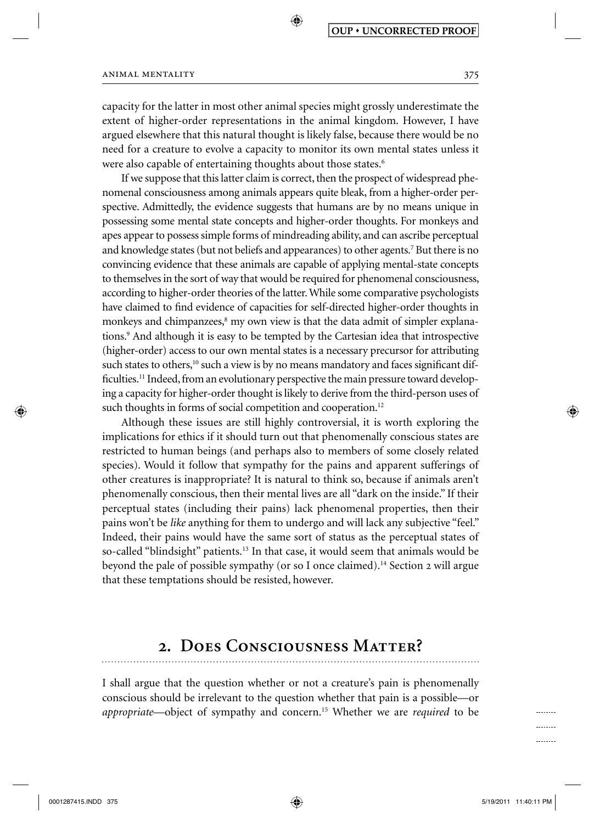capacity for the latter in most other animal species might grossly underestimate the extent of higher-order representations in the animal kingdom. However, I have argued elsewhere that this natural thought is likely false, because there would be no need for a creature to evolve a capacity to monitor its own mental states unless it were also capable of entertaining thoughts about those states.<sup>6</sup>

♠

 If we suppose that this latter claim is correct, then the prospect of widespread phenomenal consciousness among animals appears quite bleak, from a higher-order perspective. Admittedly, the evidence suggests that humans are by no means unique in possessing some mental state concepts and higher-order thoughts. For monkeys and apes appear to possess simple forms of mindreading ability, and can ascribe perceptual and knowledge states (but not beliefs and appearances) to other agents.<sup>7</sup> But there is no convincing evidence that these animals are capable of applying mental-state concepts to themselves in the sort of way that would be required for phenomenal consciousness, according to higher-order theories of the latter. While some comparative psychologists have claimed to find evidence of capacities for self-directed higher-order thoughts in monkeys and chimpanzees,<sup>8</sup> my own view is that the data admit of simpler explanations.<sup>9</sup> And although it is easy to be tempted by the Cartesian idea that introspective (higher-order) access to our own mental states is a necessary precursor for attributing such states to others,<sup>10</sup> such a view is by no means mandatory and faces significant difficulties.<sup>11</sup> Indeed, from an evolutionary perspective the main pressure toward developing a capacity for higher-order thought is likely to derive from the third-person uses of such thoughts in forms of social competition and cooperation.<sup>12</sup>

 Although these issues are still highly controversial, it is worth exploring the implications for ethics if it should turn out that phenomenally conscious states are restricted to human beings (and perhaps also to members of some closely related species). Would it follow that sympathy for the pains and apparent sufferings of other creatures is inappropriate? It is natural to think so, because if animals aren't phenomenally conscious, then their mental lives are all "dark on the inside." If their perceptual states (including their pains) lack phenomenal properties, then their pains won't be *like* anything for them to undergo and will lack any subjective "feel." Indeed, their pains would have the same sort of status as the perceptual states of so-called "blindsight" patients.<sup>13</sup> In that case, it would seem that animals would be beyond the pale of possible sympathy (or so I once claimed). 14 Section 2 will argue that these temptations should be resisted, however.

## **2. Does Consciousness Matter?**

 I shall argue that the question whether or not a creature's pain is phenomenally conscious should be irrelevant to the question whether that pain is a possible—or *appropriate* —object of sympathy and concern. 15 Whether we are *required* to be

⊕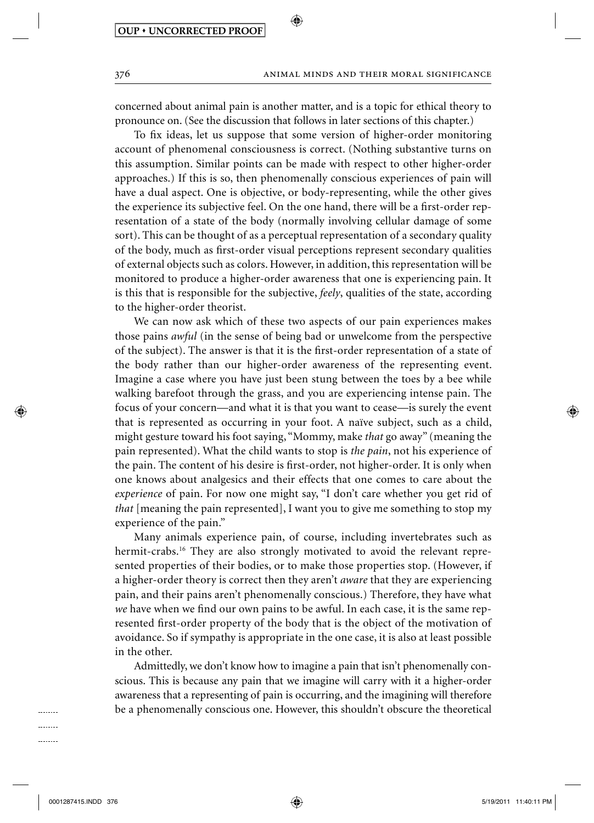concerned about animal pain is another matter, and is a topic for ethical theory to pronounce on. (See the discussion that follows in later sections of this chapter.)

♠

To fix ideas, let us suppose that some version of higher-order monitoring account of phenomenal consciousness is correct. (Nothing substantive turns on this assumption. Similar points can be made with respect to other higher-order approaches.) If this is so, then phenomenally conscious experiences of pain will have a dual aspect. One is objective, or body-representing, while the other gives the experience its subjective feel. On the one hand, there will be a first-order representation of a state of the body (normally involving cellular damage of some sort). This can be thought of as a perceptual representation of a secondary quality of the body, much as first-order visual perceptions represent secondary qualities of external objects such as colors. However, in addition, this representation will be monitored to produce a higher-order awareness that one is experiencing pain. It is this that is responsible for the subjective, *feely* , qualities of the state, according to the higher-order theorist.

 We can now ask which of these two aspects of our pain experiences makes those pains *awful* (in the sense of being bad or unwelcome from the perspective of the subject). The answer is that it is the first-order representation of a state of the body rather than our higher-order awareness of the representing event. Imagine a case where you have just been stung between the toes by a bee while walking barefoot through the grass, and you are experiencing intense pain. The focus of your concern—and what it is that you want to cease—is surely the event that is represented as occurring in your foot. A naïve subject, such as a child, might gesture toward his foot saying, "Mommy, make *that* go away" (meaning the pain represented). What the child wants to stop is *the pain* , not his experience of the pain. The content of his desire is first-order, not higher-order. It is only when one knows about analgesics and their effects that one comes to care about the *experience* of pain. For now one might say, "I don't care whether you get rid of *that* [meaning the pain represented], I want you to give me something to stop my experience of the pain."

 Many animals experience pain, of course, including invertebrates such as hermit-crabs.<sup>16</sup> They are also strongly motivated to avoid the relevant represented properties of their bodies, or to make those properties stop. (However, if a higher-order theory is correct then they aren't *aware* that they are experiencing pain, and their pains aren't phenomenally conscious.) Therefore, they have what *we* have when we find our own pains to be awful. In each case, it is the same represented first-order property of the body that is the object of the motivation of avoidance. So if sympathy is appropriate in the one case, it is also at least possible in the other.

 Admittedly, we don't know how to imagine a pain that isn't phenomenally conscious. This is because any pain that we imagine will carry with it a higher-order awareness that a representing of pain is occurring, and the imagining will therefore be a phenomenally conscious one. However, this shouldn't obscure the theoretical

⊕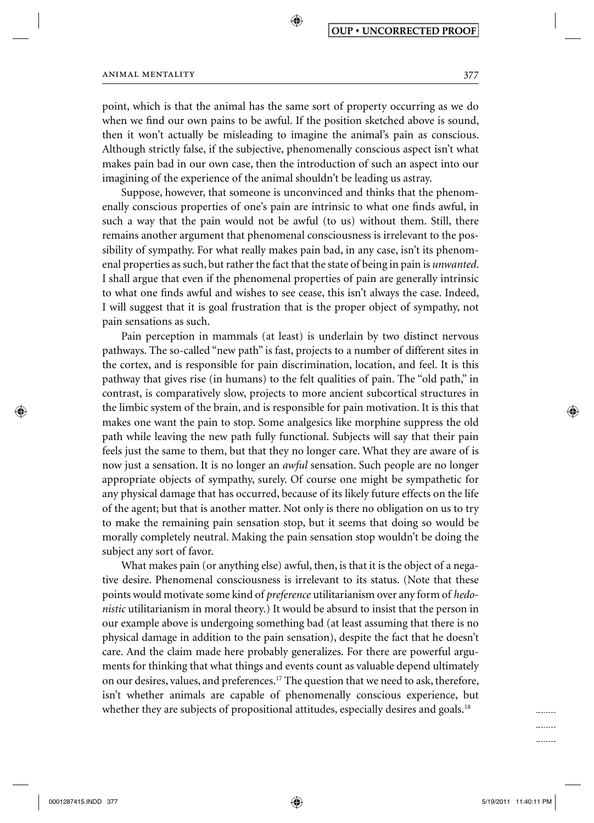point, which is that the animal has the same sort of property occurring as we do when we find our own pains to be awful. If the position sketched above is sound, then it won't actually be misleading to imagine the animal's pain as conscious. Although strictly false, if the subjective, phenomenally conscious aspect isn't what makes pain bad in our own case, then the introduction of such an aspect into our imagining of the experience of the animal shouldn't be leading us astray.

♠

 Suppose, however, that someone is unconvinced and thinks that the phenomenally conscious properties of one's pain are intrinsic to what one finds awful, in such a way that the pain would not be awful (to us) without them. Still, there remains another argument that phenomenal consciousness is irrelevant to the possibility of sympathy. For what really makes pain bad, in any case, isn't its phenomenal properties as such, but rather the fact that the state of being in pain is *unwanted* . I shall argue that even if the phenomenal properties of pain are generally intrinsic to what one finds awful and wishes to see cease, this isn't always the case. Indeed, I will suggest that it is goal frustration that is the proper object of sympathy, not pain sensations as such.

 Pain perception in mammals (at least) is underlain by two distinct nervous pathways. The so-called "new path" is fast, projects to a number of different sites in the cortex, and is responsible for pain discrimination, location, and feel. It is this pathway that gives rise (in humans) to the felt qualities of pain. The "old path," in contrast, is comparatively slow, projects to more ancient subcortical structures in the limbic system of the brain, and is responsible for pain motivation. It is this that makes one want the pain to stop. Some analgesics like morphine suppress the old path while leaving the new path fully functional. Subjects will say that their pain feels just the same to them, but that they no longer care. What they are aware of is now just a sensation. It is no longer an *awful* sensation. Such people are no longer appropriate objects of sympathy, surely. Of course one might be sympathetic for any physical damage that has occurred, because of its likely future effects on the life of the agent; but that is another matter. Not only is there no obligation on us to try to make the remaining pain sensation stop, but it seems that doing so would be morally completely neutral. Making the pain sensation stop wouldn't be doing the subject any sort of favor.

 What makes pain (or anything else) awful, then, is that it is the object of a negative desire. Phenomenal consciousness is irrelevant to its status. (Note that these points would motivate some kind of *preference* utilitarianism over any form of *hedonistic* utilitarianism in moral theory.) It would be absurd to insist that the person in our example above is undergoing something bad (at least assuming that there is no physical damage in addition to the pain sensation), despite the fact that he doesn't care. And the claim made here probably generalizes. For there are powerful arguments for thinking that what things and events count as valuable depend ultimately on our desires, values, and preferences. 17 The question that we need to ask, therefore, isn't whether animals are capable of phenomenally conscious experience, but whether they are subjects of propositional attitudes, especially desires and goals.<sup>18</sup>

⊕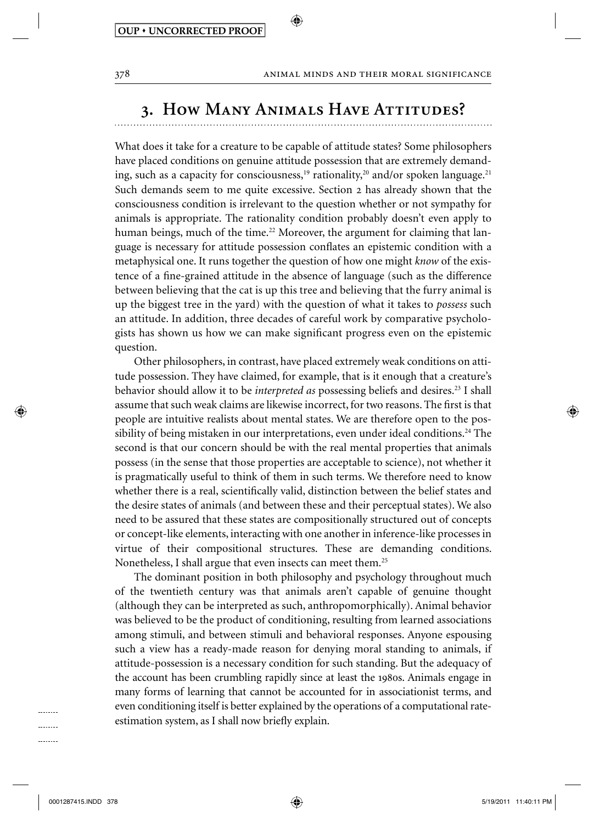

⊕

#### 378 **animal minds and their moral significance**

## **How MANY ANIMALS HAVE ATTITUDES?**

♠

 What does it take for a creature to be capable of attitude states? Some philosophers have placed conditions on genuine attitude possession that are extremely demanding, such as a capacity for consciousness,<sup>19</sup> rationality,<sup>20</sup> and/or spoken language.<sup>21</sup> Such demands seem to me quite excessive. Section 2 has already shown that the consciousness condition is irrelevant to the question whether or not sympathy for animals is appropriate. The rationality condition probably doesn't even apply to human beings, much of the time.<sup>22</sup> Moreover, the argument for claiming that language is necessary for attitude possession conflates an epistemic condition with a metaphysical one. It runs together the question of how one might *know* of the existence of a fine-grained attitude in the absence of language (such as the difference between believing that the cat is up this tree and believing that the furry animal is up the biggest tree in the yard) with the question of what it takes to *possess* such an attitude. In addition, three decades of careful work by comparative psychologists has shown us how we can make significant progress even on the epistemic question.

 Other philosophers, in contrast, have placed extremely weak conditions on attitude possession. They have claimed, for example, that is it enough that a creature's behavior should allow it to be *interpreted as* possessing beliefs and desires. 23 I shall assume that such weak claims are likewise incorrect, for two reasons. The first is that people are intuitive realists about mental states. We are therefore open to the possibility of being mistaken in our interpretations, even under ideal conditions.<sup>24</sup> The second is that our concern should be with the real mental properties that animals possess (in the sense that those properties are acceptable to science), not whether it is pragmatically useful to think of them in such terms. We therefore need to know whether there is a real, scientifically valid, distinction between the belief states and the desire states of animals (and between these and their perceptual states). We also need to be assured that these states are compositionally structured out of concepts or concept-like elements, interacting with one another in inference-like processes in virtue of their compositional structures. These are demanding conditions. Nonetheless, I shall argue that even insects can meet them.<sup>25</sup>

 The dominant position in both philosophy and psychology throughout much of the twentieth century was that animals aren't capable of genuine thought (although they can be interpreted as such, anthropomorphically). Animal behavior was believed to be the product of conditioning, resulting from learned associations among stimuli, and between stimuli and behavioral responses. Anyone espousing such a view has a ready-made reason for denying moral standing to animals, if attitude-possession is a necessary condition for such standing. But the adequacy of the account has been crumbling rapidly since at least the 1980s. Animals engage in many forms of learning that cannot be accounted for in associationist terms, and even conditioning itself is better explained by the operations of a computational rateestimation system, as I shall now briefly explain.

0001287415.INDD 378 5/19/2011 11:40:11 PM  $\bigoplus$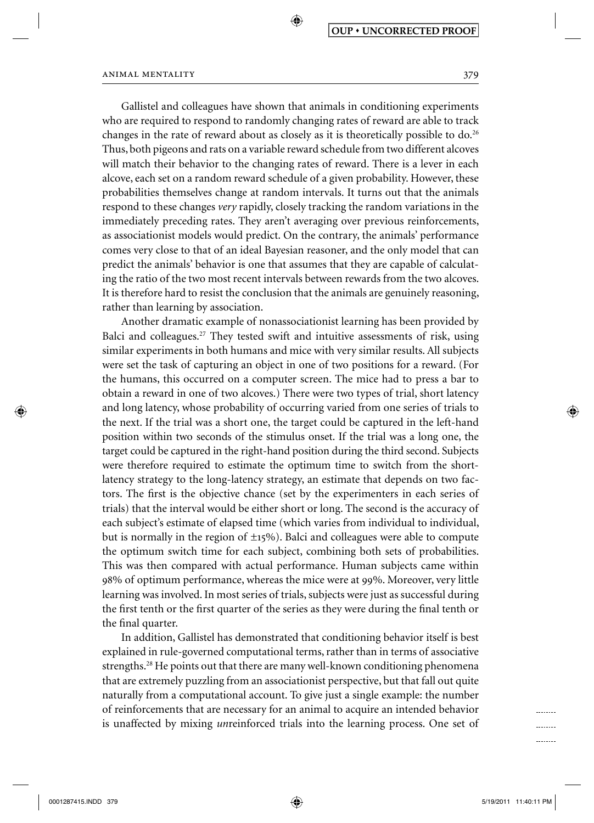Gallistel and colleagues have shown that animals in conditioning experiments who are required to respond to randomly changing rates of reward are able to track changes in the rate of reward about as closely as it is theoretically possible to do.<sup>26</sup> Thus, both pigeons and rats on a variable reward schedule from two different alcoves will match their behavior to the changing rates of reward. There is a lever in each alcove, each set on a random reward schedule of a given probability. However, these probabilities themselves change at random intervals. It turns out that the animals respond to these changes *very* rapidly, closely tracking the random variations in the immediately preceding rates. They aren't averaging over previous reinforcements, as associationist models would predict. On the contrary, the animals' performance comes very close to that of an ideal Bayesian reasoner, and the only model that can predict the animals' behavior is one that assumes that they are capable of calculating the ratio of the two most recent intervals between rewards from the two alcoves. It is therefore hard to resist the conclusion that the animals are genuinely reasoning, rather than learning by association.

♠

 Another dramatic example of nonassociationist learning has been provided by Balci and colleagues.<sup>27</sup> They tested swift and intuitive assessments of risk, using similar experiments in both humans and mice with very similar results. All subjects were set the task of capturing an object in one of two positions for a reward. (For the humans, this occurred on a computer screen. The mice had to press a bar to obtain a reward in one of two alcoves.) There were two types of trial, short latency and long latency, whose probability of occurring varied from one series of trials to the next. If the trial was a short one, the target could be captured in the left-hand position within two seconds of the stimulus onset. If the trial was a long one, the target could be captured in the right-hand position during the third second. Subjects were therefore required to estimate the optimum time to switch from the shortlatency strategy to the long-latency strategy, an estimate that depends on two factors. The first is the objective chance (set by the experimenters in each series of trials) that the interval would be either short or long. The second is the accuracy of each subject's estimate of elapsed time (which varies from individual to individual, but is normally in the region of  $\pm$ 15%). Balci and colleagues were able to compute the optimum switch time for each subject, combining both sets of probabilities. This was then compared with actual performance. Human subjects came within 98% of optimum performance, whereas the mice were at 99%. Moreover, very little learning was involved. In most series of trials, subjects were just as successful during the first tenth or the first quarter of the series as they were during the final tenth or the final quarter.

 In addition, Gallistel has demonstrated that conditioning behavior itself is best explained in rule-governed computational terms, rather than in terms of associative strengths.<sup>28</sup> He points out that there are many well-known conditioning phenomena that are extremely puzzling from an associationist perspective, but that fall out quite naturally from a computational account. To give just a single example: the number of reinforcements that are necessary for an animal to acquire an intended behavior is unaffected by mixing *un* reinforced trials into the learning process. One set of

⊕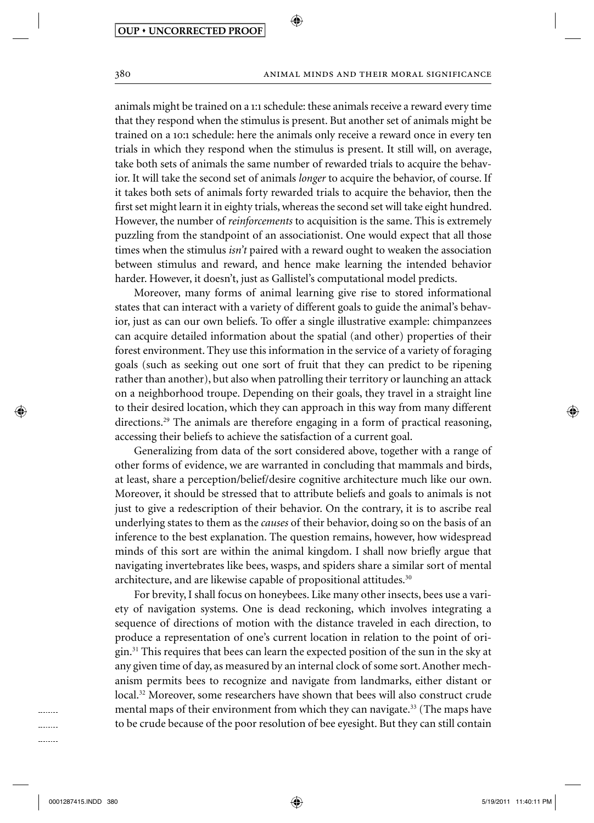⊕

#### 380 **80 ANIMAL MINDS AND THEIR MORAL SIGNIFICANCE**

animals might be trained on a 1:1 schedule: these animals receive a reward every time that they respond when the stimulus is present. But another set of animals might be trained on a 10:1 schedule: here the animals only receive a reward once in every ten trials in which they respond when the stimulus is present. It still will, on average, take both sets of animals the same number of rewarded trials to acquire the behavior. It will take the second set of animals *longer* to acquire the behavior, of course. If it takes both sets of animals forty rewarded trials to acquire the behavior, then the first set might learn it in eighty trials, whereas the second set will take eight hundred. However, the number of *reinforcements* to acquisition is the same. This is extremely puzzling from the standpoint of an associationist. One would expect that all those times when the stimulus *isn't* paired with a reward ought to weaken the association between stimulus and reward, and hence make learning the intended behavior harder. However, it doesn't, just as Gallistel's computational model predicts.

♠

 Moreover, many forms of animal learning give rise to stored informational states that can interact with a variety of different goals to guide the animal's behavior, just as can our own beliefs. To offer a single illustrative example: chimpanzees can acquire detailed information about the spatial (and other) properties of their forest environment. They use this information in the service of a variety of foraging goals (such as seeking out one sort of fruit that they can predict to be ripening rather than another), but also when patrolling their territory or launching an attack on a neighborhood troupe. Depending on their goals, they travel in a straight line to their desired location, which they can approach in this way from many different directions.<sup>29</sup> The animals are therefore engaging in a form of practical reasoning, accessing their beliefs to achieve the satisfaction of a current goal.

 Generalizing from data of the sort considered above, together with a range of other forms of evidence, we are warranted in concluding that mammals and birds, at least, share a perception/belief/desire cognitive architecture much like our own. Moreover, it should be stressed that to attribute beliefs and goals to animals is not just to give a redescription of their behavior. On the contrary, it is to ascribe real underlying states to them as the *causes* of their behavior, doing so on the basis of an inference to the best explanation. The question remains, however, how widespread minds of this sort are within the animal kingdom. I shall now briefly argue that navigating invertebrates like bees, wasps, and spiders share a similar sort of mental architecture, and are likewise capable of propositional attitudes.<sup>30</sup>

 For brevity, I shall focus on honeybees. Like many other insects, bees use a variety of navigation systems. One is dead reckoning, which involves integrating a sequence of directions of motion with the distance traveled in each direction, to produce a representation of one's current location in relation to the point of origin.<sup>31</sup> This requires that bees can learn the expected position of the sun in the sky at any given time of day, as measured by an internal clock of some sort. Another mechanism permits bees to recognize and navigate from landmarks, either distant or local.<sup>32</sup> Moreover, some researchers have shown that bees will also construct crude mental maps of their environment from which they can navigate.<sup>33</sup> (The maps have to be crude because of the poor resolution of bee eyesight. But they can still contain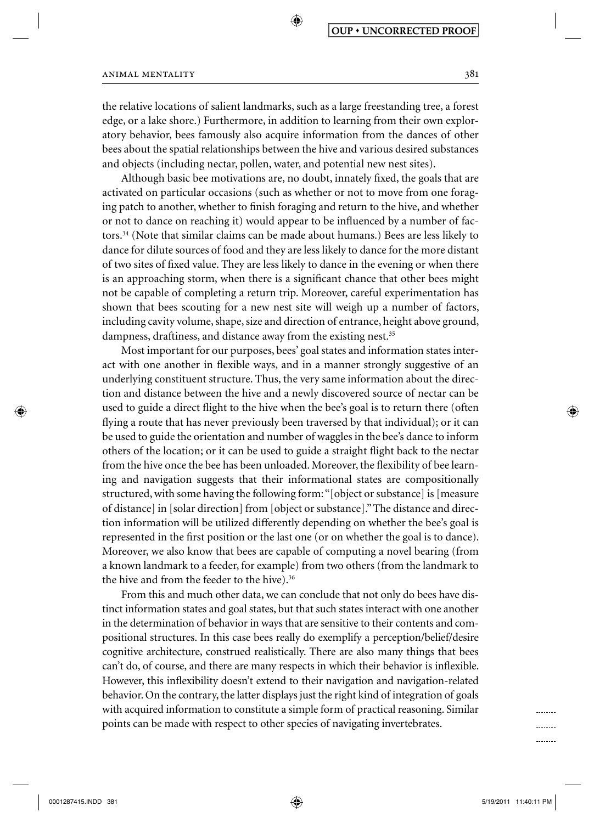the relative locations of salient landmarks, such as a large freestanding tree, a forest edge, or a lake shore.) Furthermore, in addition to learning from their own exploratory behavior, bees famously also acquire information from the dances of other bees about the spatial relationships between the hive and various desired substances and objects (including nectar, pollen, water, and potential new nest sites).

♠

Although basic bee motivations are, no doubt, innately fixed, the goals that are activated on particular occasions (such as whether or not to move from one foraging patch to another, whether to finish foraging and return to the hive, and whether or not to dance on reaching it) would appear to be influenced by a number of factors. 34 (Note that similar claims can be made about humans.) Bees are less likely to dance for dilute sources of food and they are less likely to dance for the more distant of two sites of fixed value. They are less likely to dance in the evening or when there is an approaching storm, when there is a significant chance that other bees might not be capable of completing a return trip. Moreover, careful experimentation has shown that bees scouting for a new nest site will weigh up a number of factors, including cavity volume, shape, size and direction of entrance, height above ground, dampness, draftiness, and distance away from the existing nest.<sup>35</sup>

 Most important for our purposes, bees' goal states and information states interact with one another in flexible ways, and in a manner strongly suggestive of an underlying constituent structure. Thus, the very same information about the direction and distance between the hive and a newly discovered source of nectar can be used to guide a direct flight to the hive when the bee's goal is to return there (often flying a route that has never previously been traversed by that individual); or it can be used to guide the orientation and number of waggles in the bee's dance to inform others of the location; or it can be used to guide a straight flight back to the nectar from the hive once the bee has been unloaded. Moreover, the flexibility of bee learning and navigation suggests that their informational states are compositionally structured, with some having the following form: "[object or substance] is [measure of distance] in [solar direction] from [object or substance]." The distance and direction information will be utilized differently depending on whether the bee's goal is represented in the first position or the last one (or on whether the goal is to dance). Moreover, we also know that bees are capable of computing a novel bearing (from a known landmark to a feeder, for example) from two others (from the landmark to the hive and from the feeder to the hive).<sup>36</sup>

 From this and much other data, we can conclude that not only do bees have distinct information states and goal states, but that such states interact with one another in the determination of behavior in ways that are sensitive to their contents and compositional structures. In this case bees really do exemplify a perception/belief/desire cognitive architecture, construed realistically. There are also many things that bees can't do, of course, and there are many respects in which their behavior is inflexible. However, this inflexibility doesn't extend to their navigation and navigation-related behavior. On the contrary, the latter displays just the right kind of integration of goals with acquired information to constitute a simple form of practical reasoning. Similar points can be made with respect to other species of navigating invertebrates.

⊕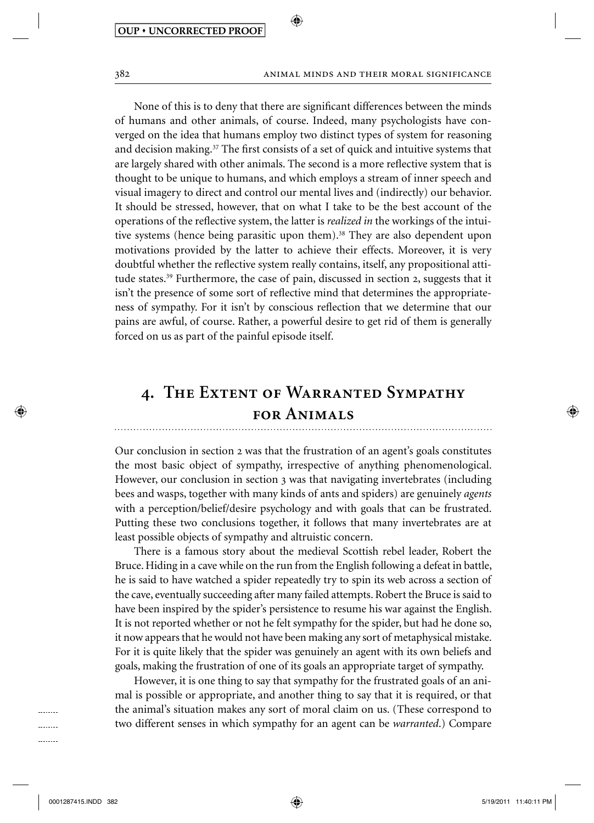#### 382 **animal minds and their moral significance**

None of this is to deny that there are significant differences between the minds of humans and other animals, of course. Indeed, many psychologists have converged on the idea that humans employ two distinct types of system for reasoning and decision making.<sup>37</sup> The first consists of a set of quick and intuitive systems that are largely shared with other animals. The second is a more reflective system that is thought to be unique to humans, and which employs a stream of inner speech and visual imagery to direct and control our mental lives and (indirectly) our behavior. It should be stressed, however, that on what I take to be the best account of the operations of the reflective system, the latter is *realized in* the workings of the intuitive systems (hence being parasitic upon them).<sup>38</sup> They are also dependent upon motivations provided by the latter to achieve their effects. Moreover, it is very doubtful whether the reflective system really contains, itself, any propositional attitude states.<sup>39</sup> Furthermore, the case of pain, discussed in section 2, suggests that it isn't the presence of some sort of reflective mind that determines the appropriateness of sympathy. For it isn't by conscious reflection that we determine that our pains are awful, of course. Rather, a powerful desire to get rid of them is generally forced on us as part of the painful episode itself.

## **4. The Extent of Warranted Sympathy for Animals**

 Our conclusion in section 2 was that the frustration of an agent's goals constitutes the most basic object of sympathy, irrespective of anything phenomenological. However, our conclusion in section 3 was that navigating invertebrates (including bees and wasps, together with many kinds of ants and spiders) are genuinely *agents* with a perception/belief/desire psychology and with goals that can be frustrated. Putting these two conclusions together, it follows that many invertebrates are at least possible objects of sympathy and altruistic concern.

 There is a famous story about the medieval Scottish rebel leader, Robert the Bruce. Hiding in a cave while on the run from the English following a defeat in battle, he is said to have watched a spider repeatedly try to spin its web across a section of the cave, eventually succeeding after many failed attempts. Robert the Bruce is said to have been inspired by the spider's persistence to resume his war against the English. It is not reported whether or not he felt sympathy for the spider, but had he done so, it now appears that he would not have been making any sort of metaphysical mistake. For it is quite likely that the spider was genuinely an agent with its own beliefs and goals, making the frustration of one of its goals an appropriate target of sympathy.

 However, it is one thing to say that sympathy for the frustrated goals of an animal is possible or appropriate, and another thing to say that it is required, or that the animal's situation makes any sort of moral claim on us. (These correspond to two different senses in which sympathy for an agent can be *warranted* .) Compare

⊕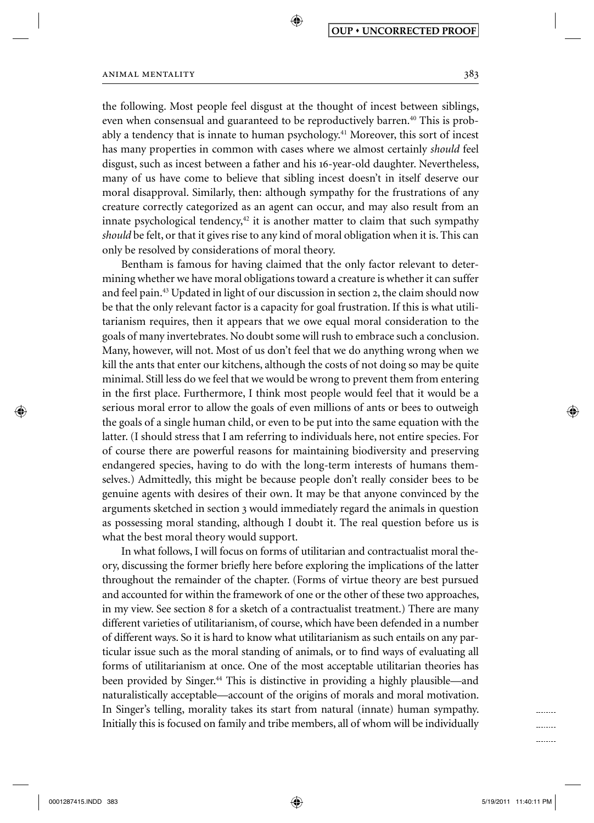the following. Most people feel disgust at the thought of incest between siblings, even when consensual and guaranteed to be reproductively barren.<sup>40</sup> This is probably a tendency that is innate to human psychology.<sup>41</sup> Moreover, this sort of incest has many properties in common with cases where we almost certainly *should* feel disgust, such as incest between a father and his 16-year-old daughter. Nevertheless, many of us have come to believe that sibling incest doesn't in itself deserve our moral disapproval. Similarly, then: although sympathy for the frustrations of any creature correctly categorized as an agent can occur, and may also result from an innate psychological tendency, $42$  it is another matter to claim that such sympathy *should* be felt, or that it gives rise to any kind of moral obligation when it is. This can only be resolved by considerations of moral theory.

♠

 Bentham is famous for having claimed that the only factor relevant to determining whether we have moral obligations toward a creature is whether it can suffer and feel pain. 43 Updated in light of our discussion in section 2 , the claim should now be that the only relevant factor is a capacity for goal frustration. If this is what utilitarianism requires, then it appears that we owe equal moral consideration to the goals of many invertebrates. No doubt some will rush to embrace such a conclusion. Many, however, will not. Most of us don't feel that we do anything wrong when we kill the ants that enter our kitchens, although the costs of not doing so may be quite minimal. Still less do we feel that we would be wrong to prevent them from entering in the first place. Furthermore, I think most people would feel that it would be a serious moral error to allow the goals of even millions of ants or bees to outweigh the goals of a single human child, or even to be put into the same equation with the latter. (I should stress that I am referring to individuals here, not entire species. For of course there are powerful reasons for maintaining biodiversity and preserving endangered species, having to do with the long-term interests of humans themselves.) Admittedly, this might be because people don't really consider bees to be genuine agents with desires of their own. It may be that anyone convinced by the arguments sketched in section 3 would immediately regard the animals in question as possessing moral standing, although I doubt it. The real question before us is what the best moral theory would support.

 In what follows, I will focus on forms of utilitarian and contractualist moral theory, discussing the former briefly here before exploring the implications of the latter throughout the remainder of the chapter. (Forms of virtue theory are best pursued and accounted for within the framework of one or the other of these two approaches, in my view. See section 8 for a sketch of a contractualist treatment.) There are many different varieties of utilitarianism, of course, which have been defended in a number of different ways. So it is hard to know what utilitarianism as such entails on any particular issue such as the moral standing of animals, or to find ways of evaluating all forms of utilitarianism at once. One of the most acceptable utilitarian theories has been provided by Singer.<sup>44</sup> This is distinctive in providing a highly plausible—and naturalistically acceptable—account of the origins of morals and moral motivation. In Singer's telling, morality takes its start from natural (innate) human sympathy. Initially this is focused on family and tribe members, all of whom will be individually

⊕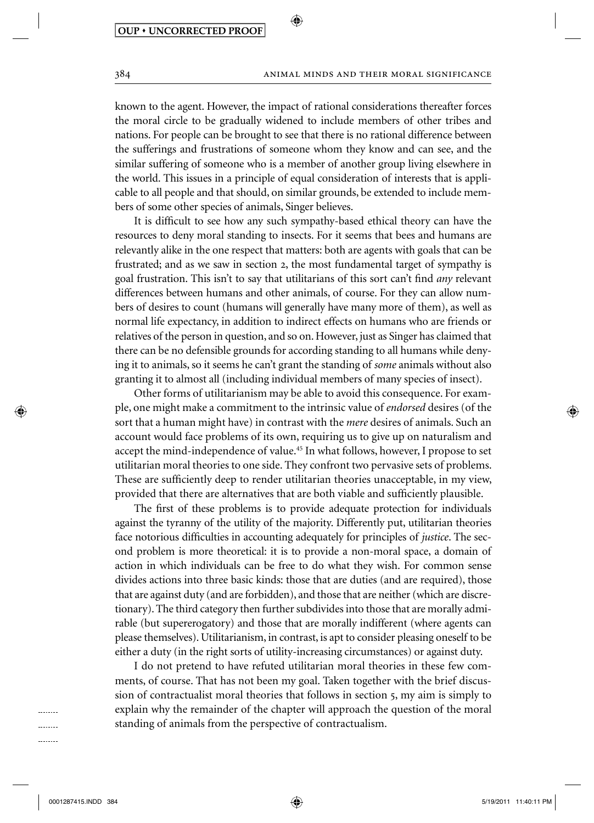⊕

#### 384 **animal minds and their moral significance**

known to the agent. However, the impact of rational considerations thereafter forces the moral circle to be gradually widened to include members of other tribes and nations. For people can be brought to see that there is no rational difference between the sufferings and frustrations of someone whom they know and can see, and the similar suffering of someone who is a member of another group living elsewhere in the world. This issues in a principle of equal consideration of interests that is applicable to all people and that should, on similar grounds, be extended to include members of some other species of animals, Singer believes.

♠

It is difficult to see how any such sympathy-based ethical theory can have the resources to deny moral standing to insects. For it seems that bees and humans are relevantly alike in the one respect that matters: both are agents with goals that can be frustrated; and as we saw in section 2, the most fundamental target of sympathy is goal frustration. This isn't to say that utilitarians of this sort can't find *any* relevant differences between humans and other animals, of course. For they can allow numbers of desires to count (humans will generally have many more of them), as well as normal life expectancy, in addition to indirect effects on humans who are friends or relatives of the person in question, and so on. However, just as Singer has claimed that there can be no defensible grounds for according standing to all humans while denying it to animals, so it seems he can't grant the standing of *some* animals without also granting it to almost all (including individual members of many species of insect).

 Other forms of utilitarianism may be able to avoid this consequence. For example, one might make a commitment to the intrinsic value of *endorsed* desires (of the sort that a human might have) in contrast with the *mere* desires of animals. Such an account would face problems of its own, requiring us to give up on naturalism and accept the mind-independence of value.<sup>45</sup> In what follows, however, I propose to set utilitarian moral theories to one side. They confront two pervasive sets of problems. These are sufficiently deep to render utilitarian theories unacceptable, in my view, provided that there are alternatives that are both viable and sufficiently plausible.

The first of these problems is to provide adequate protection for individuals against the tyranny of the utility of the majority. Differently put, utilitarian theories face notorious difficulties in accounting adequately for principles of *justice*. The second problem is more theoretical: it is to provide a non-moral space, a domain of action in which individuals can be free to do what they wish. For common sense divides actions into three basic kinds: those that are duties (and are required), those that are against duty (and are forbidden), and those that are neither (which are discretionary). The third category then further subdivides into those that are morally admirable (but supererogatory) and those that are morally indifferent (where agents can please themselves). Utilitarianism, in contrast, is apt to consider pleasing oneself to be either a duty (in the right sorts of utility-increasing circumstances) or against duty.

 I do not pretend to have refuted utilitarian moral theories in these few comments, of course. That has not been my goal. Taken together with the brief discussion of contractualist moral theories that follows in section 5 , my aim is simply to explain why the remainder of the chapter will approach the question of the moral standing of animals from the perspective of contractualism.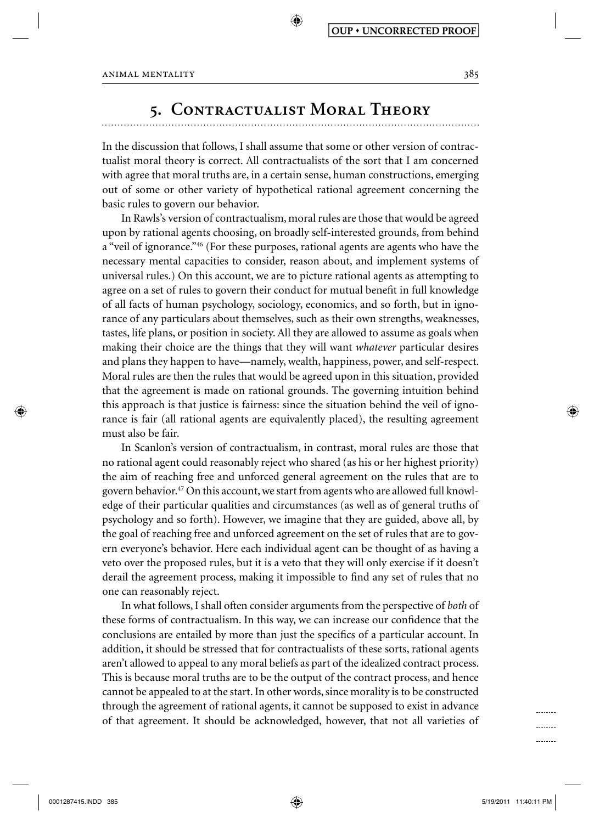## **CONTRACTUALIST MORAL THEORY**

♠

 In the discussion that follows, I shall assume that some or other version of contractualist moral theory is correct. All contractualists of the sort that I am concerned with agree that moral truths are, in a certain sense, human constructions, emerging out of some or other variety of hypothetical rational agreement concerning the basic rules to govern our behavior.

 In Rawls's version of contractualism, moral rules are those that would be agreed upon by rational agents choosing, on broadly self-interested grounds, from behind a "veil of ignorance."<sup>46</sup> (For these purposes, rational agents are agents who have the necessary mental capacities to consider, reason about, and implement systems of universal rules.) On this account, we are to picture rational agents as attempting to agree on a set of rules to govern their conduct for mutual benefit in full knowledge of all facts of human psychology, sociology, economics, and so forth, but in ignorance of any particulars about themselves, such as their own strengths, weaknesses, tastes, life plans, or position in society. All they are allowed to assume as goals when making their choice are the things that they will want *whatever* particular desires and plans they happen to have—namely, wealth, happiness, power, and self-respect. Moral rules are then the rules that would be agreed upon in this situation, provided that the agreement is made on rational grounds. The governing intuition behind this approach is that justice is fairness: since the situation behind the veil of ignorance is fair (all rational agents are equivalently placed), the resulting agreement must also be fair.

 In Scanlon's version of contractualism, in contrast, moral rules are those that no rational agent could reasonably reject who shared (as his or her highest priority) the aim of reaching free and unforced general agreement on the rules that are to govern behavior. 47 On this account, we start from agents who are allowed full knowledge of their particular qualities and circumstances (as well as of general truths of psychology and so forth). However, we imagine that they are guided, above all, by the goal of reaching free and unforced agreement on the set of rules that are to govern everyone's behavior. Here each individual agent can be thought of as having a veto over the proposed rules, but it is a veto that they will only exercise if it doesn't derail the agreement process, making it impossible to find any set of rules that no one can reasonably reject.

 In what follows, I shall often consider arguments from the perspective of *both* of these forms of contractualism. In this way, we can increase our confidence that the conclusions are entailed by more than just the specifics of a particular account. In addition, it should be stressed that for contractualists of these sorts, rational agents aren't allowed to appeal to any moral beliefs as part of the idealized contract process. This is because moral truths are to be the output of the contract process, and hence cannot be appealed to at the start. In other words, since morality is to be constructed through the agreement of rational agents, it cannot be supposed to exist in advance of that agreement. It should be acknowledged, however, that not all varieties of

⊕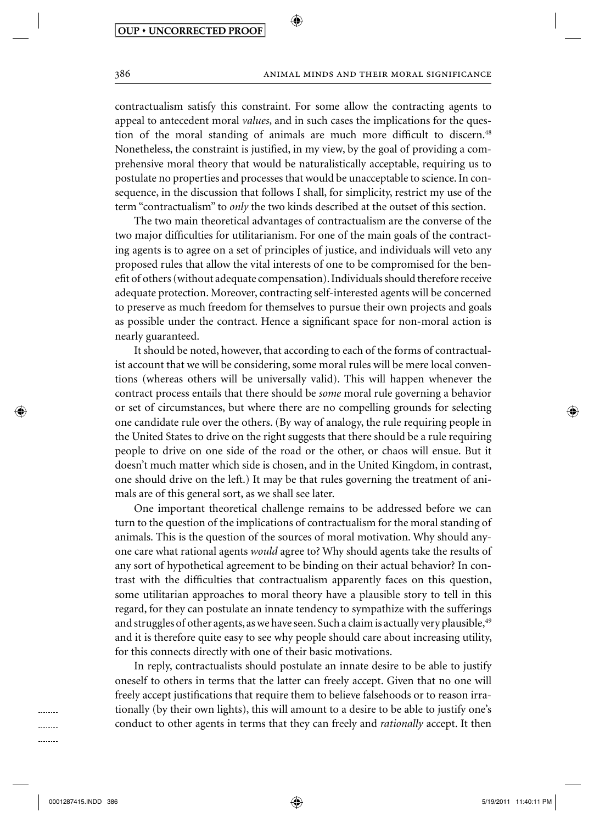⊕

#### 386 **886 ANIMAL MINDS AND THEIR MORAL SIGNIFICANCE**

contractualism satisfy this constraint. For some allow the contracting agents to appeal to antecedent moral *values* , and in such cases the implications for the question of the moral standing of animals are much more difficult to discern.<sup>48</sup> Nonetheless, the constraint is justified, in my view, by the goal of providing a comprehensive moral theory that would be naturalistically acceptable, requiring us to postulate no properties and processes that would be unacceptable to science. In consequence, in the discussion that follows I shall, for simplicity, restrict my use of the term "contractualism" to *only* the two kinds described at the outset of this section.

♠

 The two main theoretical advantages of contractualism are the converse of the two major difficulties for utilitarianism. For one of the main goals of the contracting agents is to agree on a set of principles of justice, and individuals will veto any proposed rules that allow the vital interests of one to be compromised for the benefi t of others (without adequate compensation). Individuals should therefore receive adequate protection. Moreover, contracting self-interested agents will be concerned to preserve as much freedom for themselves to pursue their own projects and goals as possible under the contract. Hence a significant space for non-moral action is nearly guaranteed.

 It should be noted, however, that according to each of the forms of contractualist account that we will be considering, some moral rules will be mere local conventions (whereas others will be universally valid). This will happen whenever the contract process entails that there should be *some* moral rule governing a behavior or set of circumstances, but where there are no compelling grounds for selecting one candidate rule over the others. (By way of analogy, the rule requiring people in the United States to drive on the right suggests that there should be a rule requiring people to drive on one side of the road or the other, or chaos will ensue. But it doesn't much matter which side is chosen, and in the United Kingdom, in contrast, one should drive on the left.) It may be that rules governing the treatment of animals are of this general sort, as we shall see later.

 One important theoretical challenge remains to be addressed before we can turn to the question of the implications of contractualism for the moral standing of animals. This is the question of the sources of moral motivation. Why should anyone care what rational agents *would* agree to? Why should agents take the results of any sort of hypothetical agreement to be binding on their actual behavior? In contrast with the difficulties that contractualism apparently faces on this question, some utilitarian approaches to moral theory have a plausible story to tell in this regard, for they can postulate an innate tendency to sympathize with the sufferings and struggles of other agents, as we have seen. Such a claim is actually very plausible,<sup>49</sup> and it is therefore quite easy to see why people should care about increasing utility, for this connects directly with one of their basic motivations.

 In reply, contractualists should postulate an innate desire to be able to justify oneself to others in terms that the latter can freely accept. Given that no one will freely accept justifications that require them to believe falsehoods or to reason irrationally (by their own lights), this will amount to a desire to be able to justify one's conduct to other agents in terms that they can freely and *rationally* accept. It then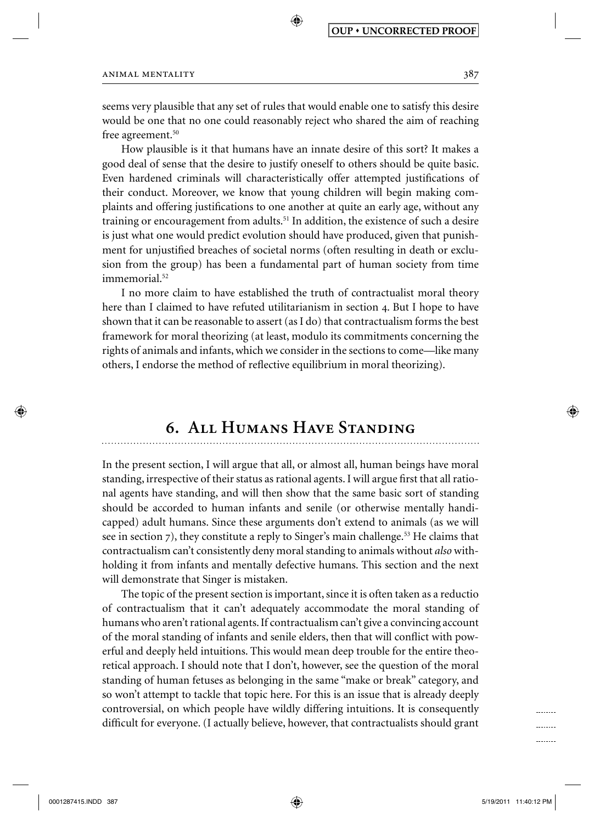seems very plausible that any set of rules that would enable one to satisfy this desire would be one that no one could reasonably reject who shared the aim of reaching free agreement.<sup>50</sup>

♠

 How plausible is it that humans have an innate desire of this sort? It makes a good deal of sense that the desire to justify oneself to others should be quite basic. Even hardened criminals will characteristically offer attempted justifications of their conduct. Moreover, we know that young children will begin making complaints and offering justifications to one another at quite an early age, without any training or encouragement from adults. 51 In addition, the existence of such a desire is just what one would predict evolution should have produced, given that punishment for unjustified breaches of societal norms (often resulting in death or exclusion from the group) has been a fundamental part of human society from time immemorial.<sup>52</sup>

 I no more claim to have established the truth of contractualist moral theory here than I claimed to have refuted utilitarianism in section 4. But I hope to have shown that it can be reasonable to assert (as I do) that contractualism forms the best framework for moral theorizing (at least, modulo its commitments concerning the rights of animals and infants, which we consider in the sections to come—like many others, I endorse the method of reflective equilibrium in moral theorizing).

## **6. All Humans Have Standing**

 In the present section, I will argue that all, or almost all, human beings have moral standing, irrespective of their status as rational agents. I will argue first that all rational agents have standing, and will then show that the same basic sort of standing should be accorded to human infants and senile (or otherwise mentally handicapped) adult humans. Since these arguments don't extend to animals (as we will see in section 7), they constitute a reply to Singer's main challenge.<sup>53</sup> He claims that contractualism can't consistently deny moral standing to animals without *also* withholding it from infants and mentally defective humans. This section and the next will demonstrate that Singer is mistaken.

 The topic of the present section is important, since it is often taken as a reductio of contractualism that it can't adequately accommodate the moral standing of humans who aren't rational agents. If contractualism can't give a convincing account of the moral standing of infants and senile elders, then that will conflict with powerful and deeply held intuitions. This would mean deep trouble for the entire theoretical approach. I should note that I don't, however, see the question of the moral standing of human fetuses as belonging in the same "make or break" category, and so won't attempt to tackle that topic here. For this is an issue that is already deeply controversial, on which people have wildly differing intuitions. It is consequently difficult for everyone. (I actually believe, however, that contractualists should grant

⊕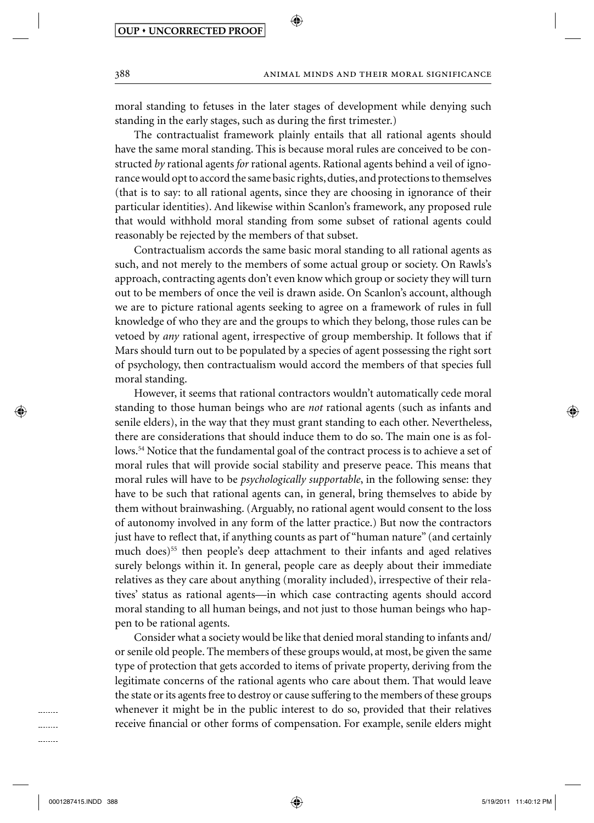moral standing to fetuses in the later stages of development while denying such standing in the early stages, such as during the first trimester.)

♠

 The contractualist framework plainly entails that all rational agents should have the same moral standing. This is because moral rules are conceived to be constructed *by* rational agents *for* rational agents. Rational agents behind a veil of ignorance would opt to accord the same basic rights, duties, and protections to themselves (that is to say: to all rational agents, since they are choosing in ignorance of their particular identities). And likewise within Scanlon's framework, any proposed rule that would withhold moral standing from some subset of rational agents could reasonably be rejected by the members of that subset.

 Contractualism accords the same basic moral standing to all rational agents as such, and not merely to the members of some actual group or society. On Rawls's approach, contracting agents don't even know which group or society they will turn out to be members of once the veil is drawn aside. On Scanlon's account, although we are to picture rational agents seeking to agree on a framework of rules in full knowledge of who they are and the groups to which they belong, those rules can be vetoed by *any* rational agent, irrespective of group membership. It follows that if Mars should turn out to be populated by a species of agent possessing the right sort of psychology, then contractualism would accord the members of that species full moral standing.

 However, it seems that rational contractors wouldn't automatically cede moral standing to those human beings who are *not* rational agents (such as infants and senile elders), in the way that they must grant standing to each other. Nevertheless, there are considerations that should induce them to do so. The main one is as follows.<sup>54</sup> Notice that the fundamental goal of the contract process is to achieve a set of moral rules that will provide social stability and preserve peace. This means that moral rules will have to be *psychologically supportable* , in the following sense: they have to be such that rational agents can, in general, bring themselves to abide by them without brainwashing. (Arguably, no rational agent would consent to the loss of autonomy involved in any form of the latter practice.) But now the contractors just have to reflect that, if anything counts as part of "human nature" (and certainly much does)<sup>55</sup> then people's deep attachment to their infants and aged relatives surely belongs within it. In general, people care as deeply about their immediate relatives as they care about anything (morality included), irrespective of their relatives' status as rational agents—in which case contracting agents should accord moral standing to all human beings, and not just to those human beings who happen to be rational agents.

 Consider what a society would be like that denied moral standing to infants and/ or senile old people. The members of these groups would, at most, be given the same type of protection that gets accorded to items of private property, deriving from the legitimate concerns of the rational agents who care about them. That would leave the state or its agents free to destroy or cause suffering to the members of these groups whenever it might be in the public interest to do so, provided that their relatives receive financial or other forms of compensation. For example, senile elders might

⊕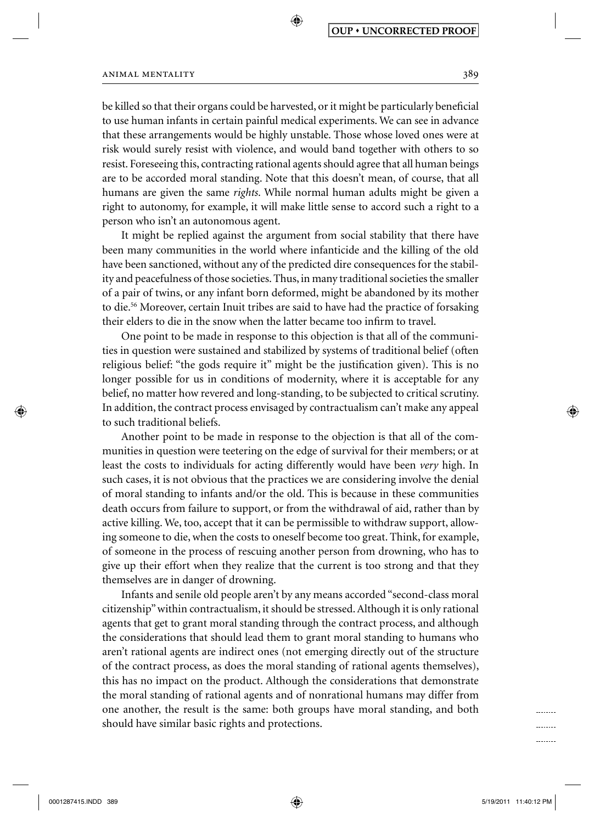be killed so that their organs could be harvested, or it might be particularly beneficial to use human infants in certain painful medical experiments. We can see in advance that these arrangements would be highly unstable. Those whose loved ones were at risk would surely resist with violence, and would band together with others to so resist. Foreseeing this, contracting rational agents should agree that all human beings are to be accorded moral standing. Note that this doesn't mean, of course, that all humans are given the same *rights* . While normal human adults might be given a right to autonomy, for example, it will make little sense to accord such a right to a person who isn't an autonomous agent.

♠

 It might be replied against the argument from social stability that there have been many communities in the world where infanticide and the killing of the old have been sanctioned, without any of the predicted dire consequences for the stability and peacefulness of those societies. Thus, in many traditional societies the smaller of a pair of twins, or any infant born deformed, might be abandoned by its mother to die. 56 Moreover, certain Inuit tribes are said to have had the practice of forsaking their elders to die in the snow when the latter became too infirm to travel.

 One point to be made in response to this objection is that all of the communities in question were sustained and stabilized by systems of traditional belief (often religious belief: "the gods require it" might be the justification given). This is no longer possible for us in conditions of modernity, where it is acceptable for any belief, no matter how revered and long-standing, to be subjected to critical scrutiny. In addition, the contract process envisaged by contractualism can't make any appeal to such traditional beliefs.

 Another point to be made in response to the objection is that all of the communities in question were teetering on the edge of survival for their members; or at least the costs to individuals for acting differently would have been *very* high. In such cases, it is not obvious that the practices we are considering involve the denial of moral standing to infants and/or the old. This is because in these communities death occurs from failure to support, or from the withdrawal of aid, rather than by active killing. We, too, accept that it can be permissible to withdraw support, allowing someone to die, when the costs to oneself become too great. Think, for example, of someone in the process of rescuing another person from drowning, who has to give up their effort when they realize that the current is too strong and that they themselves are in danger of drowning.

 Infants and senile old people aren't by any means accorded "second-class moral citizenship" within contractualism, it should be stressed. Although it is only rational agents that get to grant moral standing through the contract process, and although the considerations that should lead them to grant moral standing to humans who aren't rational agents are indirect ones (not emerging directly out of the structure of the contract process, as does the moral standing of rational agents themselves), this has no impact on the product. Although the considerations that demonstrate the moral standing of rational agents and of nonrational humans may differ from one another, the result is the same: both groups have moral standing, and both should have similar basic rights and protections.

⊕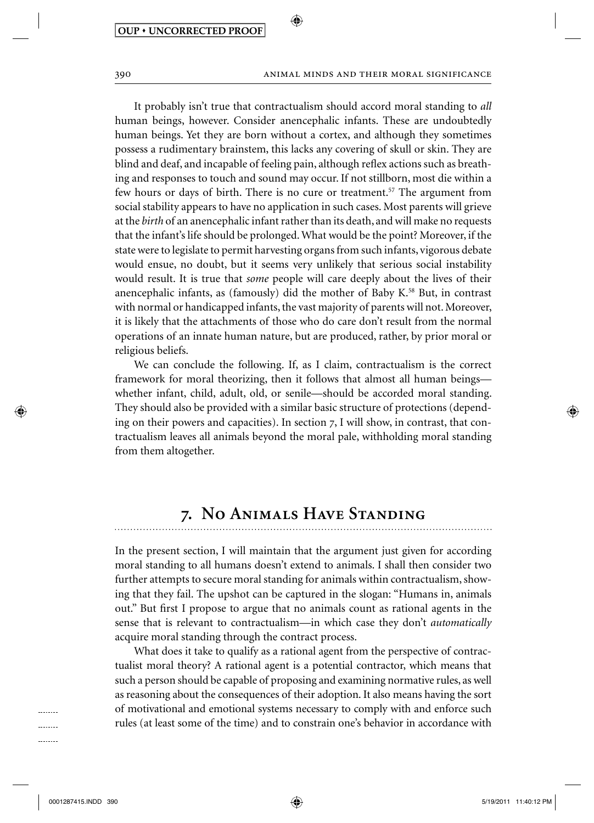#### 390 **b** animal minds and their moral significance

 It probably isn't true that contractualism should accord moral standing to *all* human beings, however. Consider anencephalic infants. These are undoubtedly human beings. Yet they are born without a cortex, and although they sometimes possess a rudimentary brainstem, this lacks any covering of skull or skin. They are blind and deaf, and incapable of feeling pain, although reflex actions such as breathing and responses to touch and sound may occur. If not stillborn, most die within a few hours or days of birth. There is no cure or treatment.<sup>57</sup> The argument from social stability appears to have no application in such cases. Most parents will grieve at the *birth* of an anencephalic infant rather than its death, and will make no requests that the infant's life should be prolonged. What would be the point? Moreover, if the state were to legislate to permit harvesting organs from such infants, vigorous debate would ensue, no doubt, but it seems very unlikely that serious social instability would result. It is true that *some* people will care deeply about the lives of their anencephalic infants, as (famously) did the mother of Baby K.<sup>58</sup> But, in contrast with normal or handicapped infants, the vast majority of parents will not. Moreover, it is likely that the attachments of those who do care don't result from the normal operations of an innate human nature, but are produced, rather, by prior moral or religious beliefs.

 We can conclude the following. If, as I claim, contractualism is the correct framework for moral theorizing, then it follows that almost all human beings whether infant, child, adult, old, or senile—should be accorded moral standing. They should also be provided with a similar basic structure of protections (depending on their powers and capacities). In section 7 , I will show, in contrast, that contractualism leaves all animals beyond the moral pale, withholding moral standing from them altogether.

## **7. No Animals Have Standing**

 In the present section, I will maintain that the argument just given for according moral standing to all humans doesn't extend to animals. I shall then consider two further attempts to secure moral standing for animals within contractualism, showing that they fail. The upshot can be captured in the slogan: "Humans in, animals out." But first I propose to argue that no animals count as rational agents in the sense that is relevant to contractualism—in which case they don't *automatically* acquire moral standing through the contract process.

 What does it take to qualify as a rational agent from the perspective of contractualist moral theory? A rational agent is a potential contractor, which means that such a person should be capable of proposing and examining normative rules, as well as reasoning about the consequences of their adoption. It also means having the sort of motivational and emotional systems necessary to comply with and enforce such rules (at least some of the time) and to constrain one's behavior in accordance with

⊕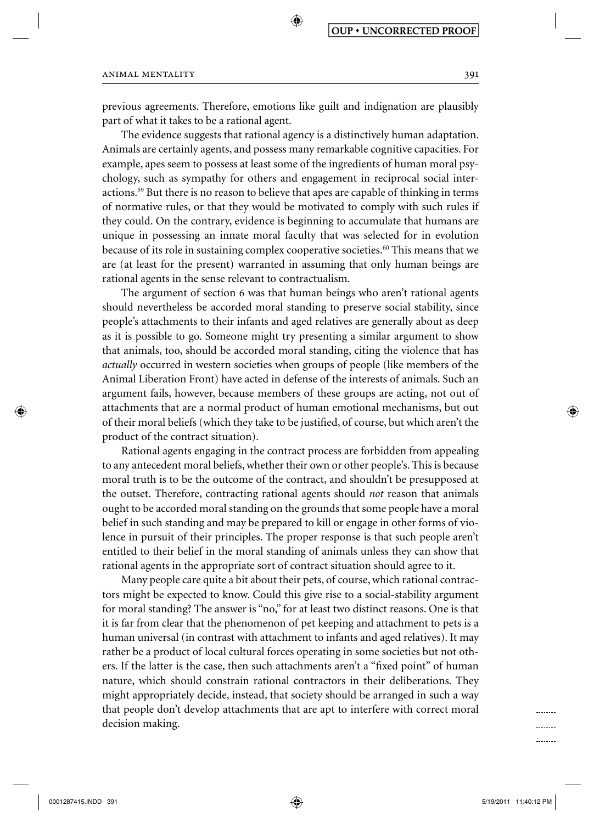previous agreements. Therefore, emotions like guilt and indignation are plausibly part of what it takes to be a rational agent.

♠

 The evidence suggests that rational agency is a distinctively human adaptation. Animals are certainly agents, and possess many remarkable cognitive capacities. For example, apes seem to possess at least some of the ingredients of human moral psychology, such as sympathy for others and engagement in reciprocal social interactions. 59 But there is no reason to believe that apes are capable of thinking in terms of normative rules, or that they would be motivated to comply with such rules if they could. On the contrary, evidence is beginning to accumulate that humans are unique in possessing an innate moral faculty that was selected for in evolution because of its role in sustaining complex cooperative societies. 60 This means that we are (at least for the present) warranted in assuming that only human beings are rational agents in the sense relevant to contractualism.

 The argument of section 6 was that human beings who aren't rational agents should nevertheless be accorded moral standing to preserve social stability, since people's attachments to their infants and aged relatives are generally about as deep as it is possible to go. Someone might try presenting a similar argument to show that animals, too, should be accorded moral standing, citing the violence that has *actually* occurred in western societies when groups of people (like members of the Animal Liberation Front) have acted in defense of the interests of animals. Such an argument fails, however, because members of these groups are acting, not out of attachments that are a normal product of human emotional mechanisms, but out of their moral beliefs (which they take to be justified, of course, but which aren't the product of the contract situation).

 Rational agents engaging in the contract process are forbidden from appealing to any antecedent moral beliefs, whether their own or other people's. This is because moral truth is to be the outcome of the contract, and shouldn't be presupposed at the outset. Therefore, contracting rational agents should *not* reason that animals ought to be accorded moral standing on the grounds that some people have a moral belief in such standing and may be prepared to kill or engage in other forms of violence in pursuit of their principles. The proper response is that such people aren't entitled to their belief in the moral standing of animals unless they can show that rational agents in the appropriate sort of contract situation should agree to it.

 Many people care quite a bit about their pets, of course, which rational contractors might be expected to know. Could this give rise to a social-stability argument for moral standing? The answer is "no," for at least two distinct reasons. One is that it is far from clear that the phenomenon of pet keeping and attachment to pets is a human universal (in contrast with attachment to infants and aged relatives). It may rather be a product of local cultural forces operating in some societies but not others. If the latter is the case, then such attachments aren't a "fixed point" of human nature, which should constrain rational contractors in their deliberations. They might appropriately decide, instead, that society should be arranged in such a way that people don't develop attachments that are apt to interfere with correct moral decision making.

⊕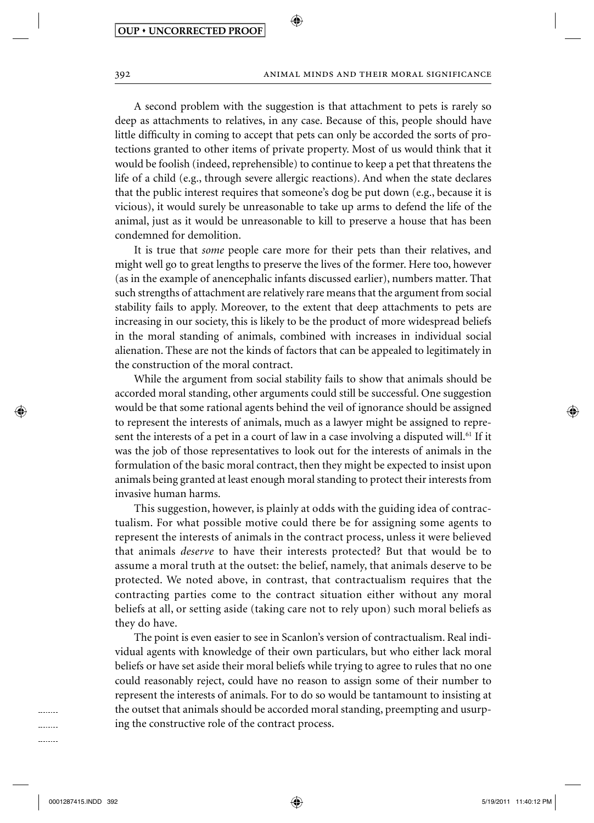OUP · UNCORRECTED PROOF

⊕

 A second problem with the suggestion is that attachment to pets is rarely so deep as attachments to relatives, in any case. Because of this, people should have little difficulty in coming to accept that pets can only be accorded the sorts of protections granted to other items of private property. Most of us would think that it would be foolish (indeed, reprehensible) to continue to keep a pet that threatens the life of a child (e.g., through severe allergic reactions). And when the state declares that the public interest requires that someone's dog be put down (e.g., because it is vicious), it would surely be unreasonable to take up arms to defend the life of the animal, just as it would be unreasonable to kill to preserve a house that has been condemned for demolition.

♠

 It is true that *some* people care more for their pets than their relatives, and might well go to great lengths to preserve the lives of the former. Here too, however (as in the example of anencephalic infants discussed earlier), numbers matter. That such strengths of attachment are relatively rare means that the argument from social stability fails to apply. Moreover, to the extent that deep attachments to pets are increasing in our society, this is likely to be the product of more widespread beliefs in the moral standing of animals, combined with increases in individual social alienation. These are not the kinds of factors that can be appealed to legitimately in the construction of the moral contract.

 While the argument from social stability fails to show that animals should be accorded moral standing, other arguments could still be successful. One suggestion would be that some rational agents behind the veil of ignorance should be assigned to represent the interests of animals, much as a lawyer might be assigned to represent the interests of a pet in a court of law in a case involving a disputed will.<sup>61</sup> If it was the job of those representatives to look out for the interests of animals in the formulation of the basic moral contract, then they might be expected to insist upon animals being granted at least enough moral standing to protect their interests from invasive human harms.

 This suggestion, however, is plainly at odds with the guiding idea of contractualism. For what possible motive could there be for assigning some agents to represent the interests of animals in the contract process, unless it were believed that animals *deserve* to have their interests protected? But that would be to assume a moral truth at the outset: the belief, namely, that animals deserve to be protected. We noted above, in contrast, that contractualism requires that the contracting parties come to the contract situation either without any moral beliefs at all, or setting aside (taking care not to rely upon) such moral beliefs as they do have.

 The point is even easier to see in Scanlon's version of contractualism. Real individual agents with knowledge of their own particulars, but who either lack moral beliefs or have set aside their moral beliefs while trying to agree to rules that no one could reasonably reject, could have no reason to assign some of their number to represent the interests of animals. For to do so would be tantamount to insisting at the outset that animals should be accorded moral standing, preempting and usurping the constructive role of the contract process.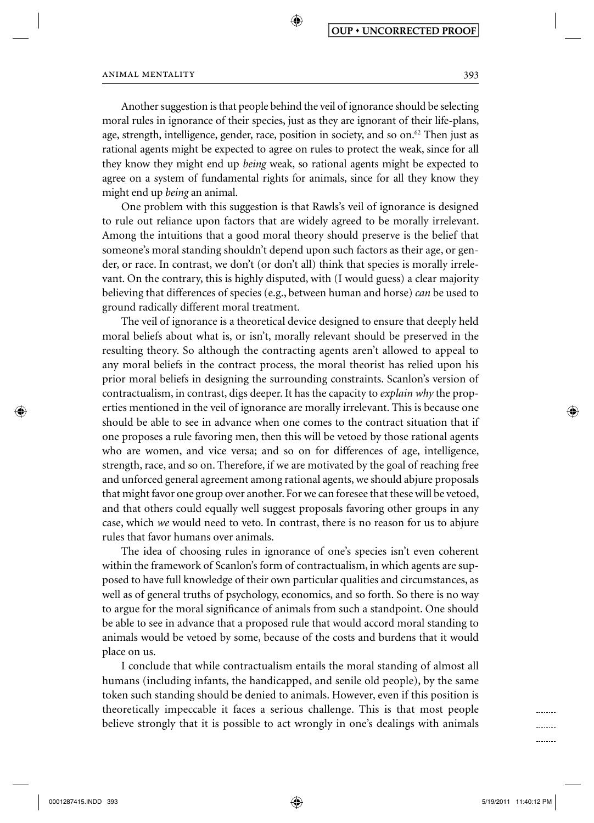Another suggestion is that people behind the veil of ignorance should be selecting moral rules in ignorance of their species, just as they are ignorant of their life-plans, age, strength, intelligence, gender, race, position in society, and so on. $62$  Then just as rational agents might be expected to agree on rules to protect the weak, since for all they know they might end up *being* weak, so rational agents might be expected to agree on a system of fundamental rights for animals, since for all they know they might end up *being* an animal.

♠

 One problem with this suggestion is that Rawls's veil of ignorance is designed to rule out reliance upon factors that are widely agreed to be morally irrelevant. Among the intuitions that a good moral theory should preserve is the belief that someone's moral standing shouldn't depend upon such factors as their age, or gender, or race. In contrast, we don't (or don't all) think that species is morally irrelevant. On the contrary, this is highly disputed, with (I would guess) a clear majority believing that differences of species (e.g., between human and horse) *can* be used to ground radically different moral treatment.

 The veil of ignorance is a theoretical device designed to ensure that deeply held moral beliefs about what is, or isn't, morally relevant should be preserved in the resulting theory. So although the contracting agents aren't allowed to appeal to any moral beliefs in the contract process, the moral theorist has relied upon his prior moral beliefs in designing the surrounding constraints. Scanlon's version of contractualism, in contrast, digs deeper. It has the capacity to *explain why* the properties mentioned in the veil of ignorance are morally irrelevant. This is because one should be able to see in advance when one comes to the contract situation that if one proposes a rule favoring men, then this will be vetoed by those rational agents who are women, and vice versa; and so on for differences of age, intelligence, strength, race, and so on. Therefore, if we are motivated by the goal of reaching free and unforced general agreement among rational agents, we should abjure proposals that might favor one group over another. For we can foresee that these will be vetoed, and that others could equally well suggest proposals favoring other groups in any case, which *we* would need to veto. In contrast, there is no reason for us to abjure rules that favor humans over animals.

 The idea of choosing rules in ignorance of one's species isn't even coherent within the framework of Scanlon's form of contractualism, in which agents are supposed to have full knowledge of their own particular qualities and circumstances, as well as of general truths of psychology, economics, and so forth. So there is no way to argue for the moral significance of animals from such a standpoint. One should be able to see in advance that a proposed rule that would accord moral standing to animals would be vetoed by some, because of the costs and burdens that it would place on us.

 I conclude that while contractualism entails the moral standing of almost all humans (including infants, the handicapped, and senile old people), by the same token such standing should be denied to animals. However, even if this position is theoretically impeccable it faces a serious challenge. This is that most people believe strongly that it is possible to act wrongly in one's dealings with animals

⊕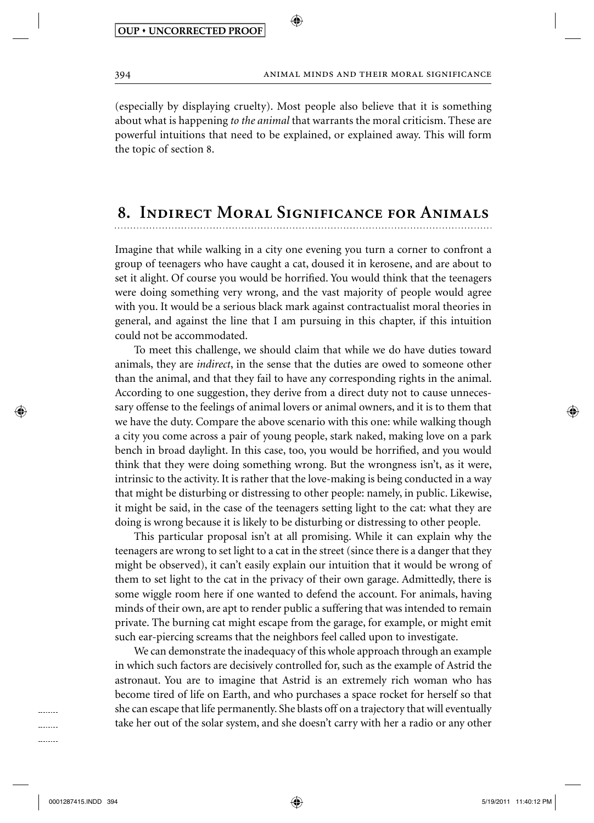⊕

394 **animal minds and their moral significance** 

(especially by displaying cruelty). Most people also believe that it is something about what is happening *to the animal* that warrants the moral criticism. These are powerful intuitions that need to be explained, or explained away. This will form the topic of section 8.

♠

## **INDIRECT MORAL SIGNIFICANCE FOR ANIMALS**

 Imagine that while walking in a city one evening you turn a corner to confront a group of teenagers who have caught a cat, doused it in kerosene, and are about to set it alight. Of course you would be horrified. You would think that the teenagers were doing something very wrong, and the vast majority of people would agree with you. It would be a serious black mark against contractualist moral theories in general, and against the line that I am pursuing in this chapter, if this intuition could not be accommodated.

 To meet this challenge, we should claim that while we do have duties toward animals, they are *indirect* , in the sense that the duties are owed to someone other than the animal, and that they fail to have any corresponding rights in the animal. According to one suggestion, they derive from a direct duty not to cause unnecessary offense to the feelings of animal lovers or animal owners, and it is to them that we have the duty. Compare the above scenario with this one: while walking though a city you come across a pair of young people, stark naked, making love on a park bench in broad daylight. In this case, too, you would be horrified, and you would think that they were doing something wrong. But the wrongness isn't, as it were, intrinsic to the activity. It is rather that the love-making is being conducted in a way that might be disturbing or distressing to other people: namely, in public. Likewise, it might be said, in the case of the teenagers setting light to the cat: what they are doing is wrong because it is likely to be disturbing or distressing to other people.

 This particular proposal isn't at all promising. While it can explain why the teenagers are wrong to set light to a cat in the street (since there is a danger that they might be observed), it can't easily explain our intuition that it would be wrong of them to set light to the cat in the privacy of their own garage. Admittedly, there is some wiggle room here if one wanted to defend the account. For animals, having minds of their own, are apt to render public a suffering that was intended to remain private. The burning cat might escape from the garage, for example, or might emit such ear-piercing screams that the neighbors feel called upon to investigate.

 We can demonstrate the inadequacy of this whole approach through an example in which such factors are decisively controlled for, such as the example of Astrid the astronaut. You are to imagine that Astrid is an extremely rich woman who has become tired of life on Earth, and who purchases a space rocket for herself so that she can escape that life permanently. She blasts off on a trajectory that will eventually take her out of the solar system, and she doesn't carry with her a radio or any other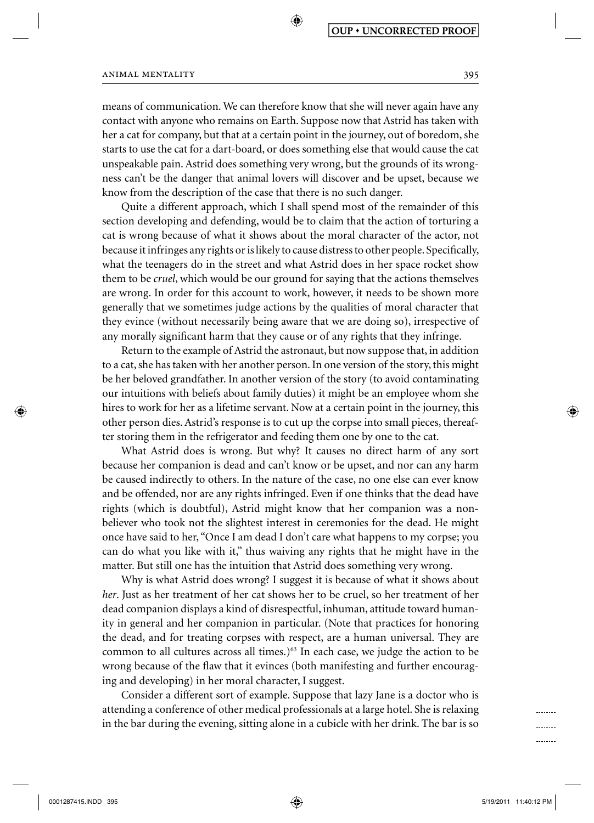means of communication. We can therefore know that she will never again have any contact with anyone who remains on Earth. Suppose now that Astrid has taken with her a cat for company, but that at a certain point in the journey, out of boredom, she starts to use the cat for a dart-board, or does something else that would cause the cat unspeakable pain. Astrid does something very wrong, but the grounds of its wrongness can't be the danger that animal lovers will discover and be upset, because we know from the description of the case that there is no such danger.

 Quite a different approach, which I shall spend most of the remainder of this section developing and defending, would be to claim that the action of torturing a cat is wrong because of what it shows about the moral character of the actor, not because it infringes any rights or is likely to cause distress to other people. Specifically, what the teenagers do in the street and what Astrid does in her space rocket show them to be *cruel* , which would be our ground for saying that the actions themselves are wrong. In order for this account to work, however, it needs to be shown more generally that we sometimes judge actions by the qualities of moral character that they evince (without necessarily being aware that we are doing so), irrespective of any morally significant harm that they cause or of any rights that they infringe.

 Return to the example of Astrid the astronaut, but now suppose that, in addition to a cat, she has taken with her another person. In one version of the story, this might be her beloved grandfather. In another version of the story (to avoid contaminating our intuitions with beliefs about family duties) it might be an employee whom she hires to work for her as a lifetime servant. Now at a certain point in the journey, this other person dies. Astrid's response is to cut up the corpse into small pieces, thereafter storing them in the refrigerator and feeding them one by one to the cat.

 What Astrid does is wrong. But why? It causes no direct harm of any sort because her companion is dead and can't know or be upset, and nor can any harm be caused indirectly to others. In the nature of the case, no one else can ever know and be offended, nor are any rights infringed. Even if one thinks that the dead have rights (which is doubtful), Astrid might know that her companion was a nonbeliever who took not the slightest interest in ceremonies for the dead. He might once have said to her, "Once I am dead I don't care what happens to my corpse; you can do what you like with it," thus waiving any rights that he might have in the matter. But still one has the intuition that Astrid does something very wrong.

 Why is what Astrid does wrong? I suggest it is because of what it shows about *her* . Just as her treatment of her cat shows her to be cruel, so her treatment of her dead companion displays a kind of disrespectful, inhuman, attitude toward humanity in general and her companion in particular. (Note that practices for honoring the dead, and for treating corpses with respect, are a human universal. They are common to all cultures across all times.)<sup>63</sup> In each case, we judge the action to be wrong because of the flaw that it evinces (both manifesting and further encouraging and developing) in her moral character, I suggest.

 Consider a different sort of example. Suppose that lazy Jane is a doctor who is attending a conference of other medical professionals at a large hotel. She is relaxing in the bar during the evening, sitting alone in a cubicle with her drink. The bar is so

⊕

⊕

♠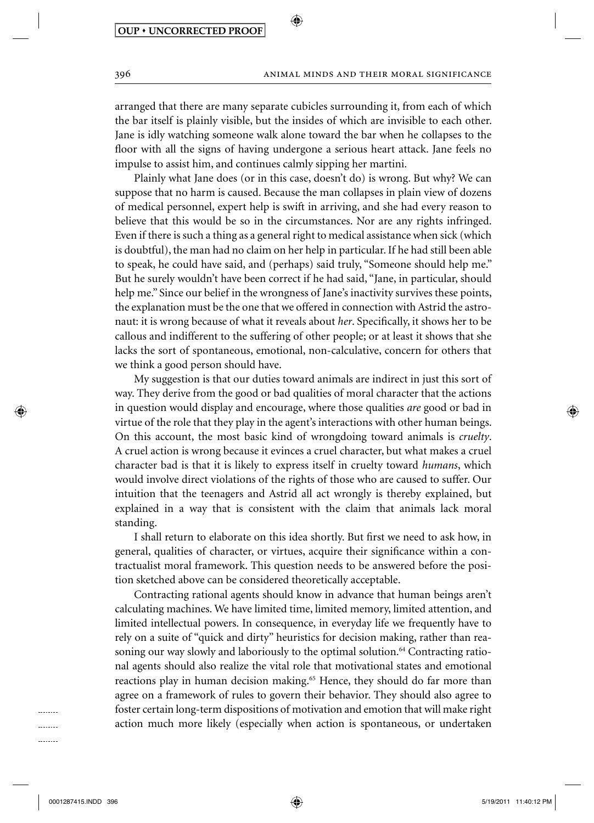⊕

#### 396 **animal minds and their moral significance**

arranged that there are many separate cubicles surrounding it, from each of which the bar itself is plainly visible, but the insides of which are invisible to each other. Jane is idly watching someone walk alone toward the bar when he collapses to the floor with all the signs of having undergone a serious heart attack. Jane feels no impulse to assist him, and continues calmly sipping her martini.

♠

 Plainly what Jane does (or in this case, doesn't do) is wrong. But why? We can suppose that no harm is caused. Because the man collapses in plain view of dozens of medical personnel, expert help is swift in arriving, and she had every reason to believe that this would be so in the circumstances. Nor are any rights infringed. Even if there is such a thing as a general right to medical assistance when sick (which is doubtful), the man had no claim on her help in particular. If he had still been able to speak, he could have said, and (perhaps) said truly, "Someone should help me." But he surely wouldn't have been correct if he had said, "Jane, in particular, should help me." Since our belief in the wrongness of Jane's inactivity survives these points, the explanation must be the one that we offered in connection with Astrid the astronaut: it is wrong because of what it reveals about *her*. Specifically, it shows her to be callous and indifferent to the suffering of other people; or at least it shows that she lacks the sort of spontaneous, emotional, non-calculative, concern for others that we think a good person should have.

 My suggestion is that our duties toward animals are indirect in just this sort of way. They derive from the good or bad qualities of moral character that the actions in question would display and encourage, where those qualities *are* good or bad in virtue of the role that they play in the agent's interactions with other human beings. On this account, the most basic kind of wrongdoing toward animals is *cruelty* . A cruel action is wrong because it evinces a cruel character, but what makes a cruel character bad is that it is likely to express itself in cruelty toward *humans* , which would involve direct violations of the rights of those who are caused to suffer. Our intuition that the teenagers and Astrid all act wrongly is thereby explained, but explained in a way that is consistent with the claim that animals lack moral standing.

I shall return to elaborate on this idea shortly. But first we need to ask how, in general, qualities of character, or virtues, acquire their significance within a contractualist moral framework. This question needs to be answered before the position sketched above can be considered theoretically acceptable.

 Contracting rational agents should know in advance that human beings aren't calculating machines. We have limited time, limited memory, limited attention, and limited intellectual powers. In consequence, in everyday life we frequently have to rely on a suite of "quick and dirty" heuristics for decision making, rather than reasoning our way slowly and laboriously to the optimal solution.<sup>64</sup> Contracting rational agents should also realize the vital role that motivational states and emotional reactions play in human decision making.<sup>65</sup> Hence, they should do far more than agree on a framework of rules to govern their behavior. They should also agree to foster certain long-term dispositions of motivation and emotion that will make right action much more likely (especially when action is spontaneous, or undertaken

0001287415.INDD 396 **001287415.INDD** 396 **1012011** 11:40:12 PM **12:40:12 PM /19/2011** 11:40:12 PM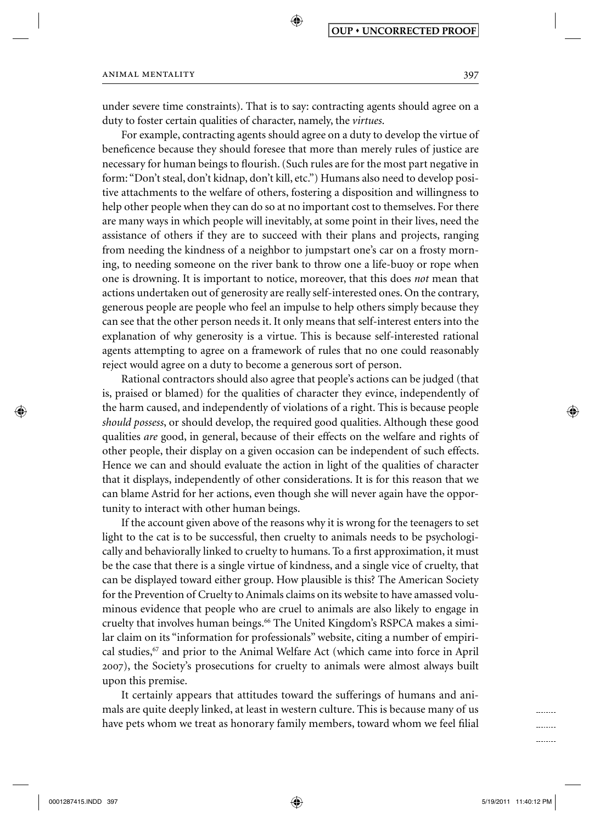under severe time constraints). That is to say: contracting agents should agree on a duty to foster certain qualities of character, namely, the *virtues* .

♠

 For example, contracting agents should agree on a duty to develop the virtue of beneficence because they should foresee that more than merely rules of justice are necessary for human beings to flourish. (Such rules are for the most part negative in form: "Don't steal, don't kidnap, don't kill, etc.") Humans also need to develop positive attachments to the welfare of others, fostering a disposition and willingness to help other people when they can do so at no important cost to themselves. For there are many ways in which people will inevitably, at some point in their lives, need the assistance of others if they are to succeed with their plans and projects, ranging from needing the kindness of a neighbor to jumpstart one's car on a frosty morning, to needing someone on the river bank to throw one a life-buoy or rope when one is drowning. It is important to notice, moreover, that this does *not* mean that actions undertaken out of generosity are really self-interested ones. On the contrary, generous people are people who feel an impulse to help others simply because they can see that the other person needs it. It only means that self-interest enters into the explanation of why generosity is a virtue. This is because self-interested rational agents attempting to agree on a framework of rules that no one could reasonably reject would agree on a duty to become a generous sort of person.

 Rational contractors should also agree that people's actions can be judged (that is, praised or blamed) for the qualities of character they evince, independently of the harm caused, and independently of violations of a right. This is because people *should possess* , or should develop, the required good qualities. Although these good qualities *are* good, in general, because of their effects on the welfare and rights of other people, their display on a given occasion can be independent of such effects. Hence we can and should evaluate the action in light of the qualities of character that it displays, independently of other considerations. It is for this reason that we can blame Astrid for her actions, even though she will never again have the opportunity to interact with other human beings.

 If the account given above of the reasons why it is wrong for the teenagers to set light to the cat is to be successful, then cruelty to animals needs to be psychologically and behaviorally linked to cruelty to humans. To a first approximation, it must be the case that there is a single virtue of kindness, and a single vice of cruelty, that can be displayed toward either group. How plausible is this? The American Society for the Prevention of Cruelty to Animals claims on its website to have amassed voluminous evidence that people who are cruel to animals are also likely to engage in cruelty that involves human beings. 66 The United Kingdom's RSPCA makes a similar claim on its "information for professionals" website, citing a number of empirical studies,<sup>67</sup> and prior to the Animal Welfare Act (which came into force in April 2007), the Society's prosecutions for cruelty to animals were almost always built upon this premise.

 It certainly appears that attitudes toward the sufferings of humans and animals are quite deeply linked, at least in western culture. This is because many of us have pets whom we treat as honorary family members, toward whom we feel filial

⊕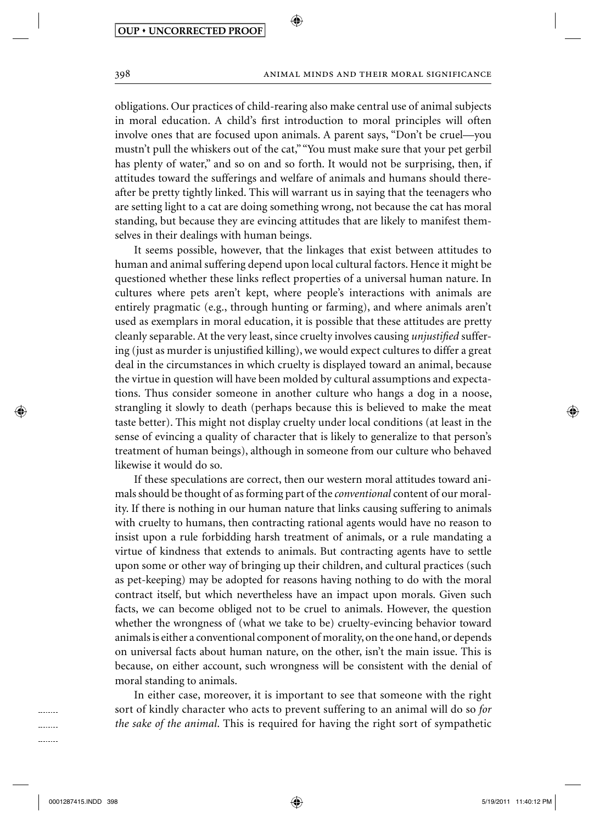⊕

#### 398 **1988 animal minds and their moral significance**

obligations. Our practices of child-rearing also make central use of animal subjects in moral education. A child's first introduction to moral principles will often involve ones that are focused upon animals. A parent says, "Don't be cruel—you mustn't pull the whiskers out of the cat," "You must make sure that your pet gerbil has plenty of water," and so on and so forth. It would not be surprising, then, if attitudes toward the sufferings and welfare of animals and humans should thereafter be pretty tightly linked. This will warrant us in saying that the teenagers who are setting light to a cat are doing something wrong, not because the cat has moral standing, but because they are evincing attitudes that are likely to manifest themselves in their dealings with human beings.

♠

 It seems possible, however, that the linkages that exist between attitudes to human and animal suffering depend upon local cultural factors. Hence it might be questioned whether these links reflect properties of a universal human nature. In cultures where pets aren't kept, where people's interactions with animals are entirely pragmatic (e.g., through hunting or farming), and where animals aren't used as exemplars in moral education, it is possible that these attitudes are pretty cleanly separable. At the very least, since cruelty involves causing *unjustified* suffering (just as murder is unjustified killing), we would expect cultures to differ a great deal in the circumstances in which cruelty is displayed toward an animal, because the virtue in question will have been molded by cultural assumptions and expectations. Thus consider someone in another culture who hangs a dog in a noose, strangling it slowly to death (perhaps because this is believed to make the meat taste better). This might not display cruelty under local conditions (at least in the sense of evincing a quality of character that is likely to generalize to that person's treatment of human beings), although in someone from our culture who behaved likewise it would do so.

 If these speculations are correct, then our western moral attitudes toward animals should be thought of as forming part of the *conventional* content of our morality. If there is nothing in our human nature that links causing suffering to animals with cruelty to humans, then contracting rational agents would have no reason to insist upon a rule forbidding harsh treatment of animals, or a rule mandating a virtue of kindness that extends to animals. But contracting agents have to settle upon some or other way of bringing up their children, and cultural practices (such as pet-keeping) may be adopted for reasons having nothing to do with the moral contract itself, but which nevertheless have an impact upon morals. Given such facts, we can become obliged not to be cruel to animals. However, the question whether the wrongness of (what we take to be) cruelty-evincing behavior toward animals is either a conventional component of morality, on the one hand, or depends on universal facts about human nature, on the other, isn't the main issue. This is because, on either account, such wrongness will be consistent with the denial of moral standing to animals.

 In either case, moreover, it is important to see that someone with the right sort of kindly character who acts to prevent suffering to an animal will do so *for the sake of the animal*. This is required for having the right sort of sympathetic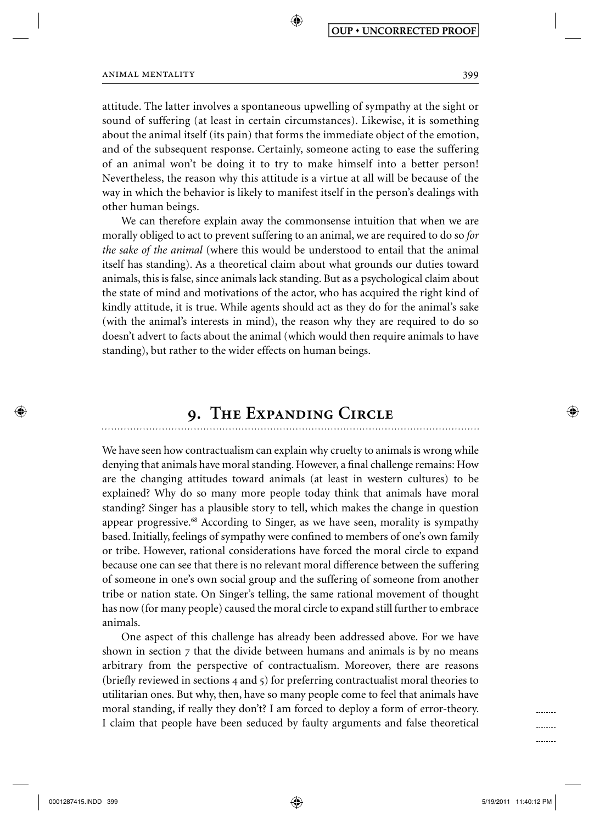attitude. The latter involves a spontaneous upwelling of sympathy at the sight or sound of suffering (at least in certain circumstances). Likewise, it is something about the animal itself (its pain) that forms the immediate object of the emotion, and of the subsequent response. Certainly, someone acting to ease the suffering of an animal won't be doing it to try to make himself into a better person! Nevertheless, the reason why this attitude is a virtue at all will be because of the way in which the behavior is likely to manifest itself in the person's dealings with other human beings.

♠

 We can therefore explain away the commonsense intuition that when we are morally obliged to act to prevent suffering to an animal, we are required to do so *for the sake of the animal* (where this would be understood to entail that the animal itself has standing). As a theoretical claim about what grounds our duties toward animals, this is false, since animals lack standing. But as a psychological claim about the state of mind and motivations of the actor, who has acquired the right kind of kindly attitude, it is true. While agents should act as they do for the animal's sake (with the animal's interests in mind), the reason why they are required to do so doesn't advert to facts about the animal (which would then require animals to have standing), but rather to the wider effects on human beings.

## **9. The Expanding Circle**

 We have seen how contractualism can explain why cruelty to animals is wrong while denying that animals have moral standing. However, a final challenge remains: How are the changing attitudes toward animals (at least in western cultures) to be explained? Why do so many more people today think that animals have moral standing? Singer has a plausible story to tell, which makes the change in question appear progressive. 68 According to Singer, as we have seen, morality is sympathy based. Initially, feelings of sympathy were confined to members of one's own family or tribe. However, rational considerations have forced the moral circle to expand because one can see that there is no relevant moral difference between the suffering of someone in one's own social group and the suffering of someone from another tribe or nation state. On Singer's telling, the same rational movement of thought has now (for many people) caused the moral circle to expand still further to embrace animals.

 One aspect of this challenge has already been addressed above. For we have shown in section 7 that the divide between humans and animals is by no means arbitrary from the perspective of contractualism. Moreover, there are reasons (briefly reviewed in sections 4 and  $\zeta$ ) for preferring contractualist moral theories to utilitarian ones. But why, then, have so many people come to feel that animals have moral standing, if really they don't? I am forced to deploy a form of error-theory. I claim that people have been seduced by faulty arguments and false theoretical

⊕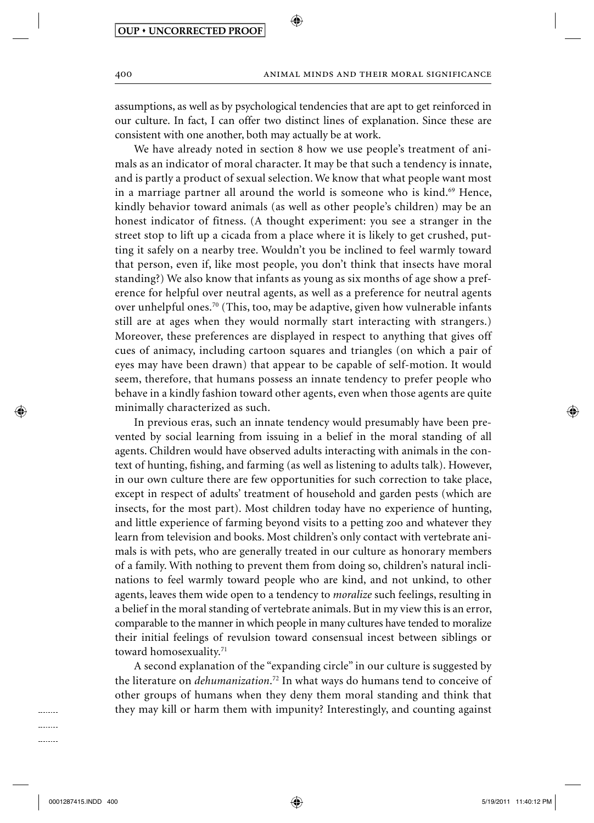assumptions, as well as by psychological tendencies that are apt to get reinforced in our culture. In fact, I can offer two distinct lines of explanation. Since these are consistent with one another, both may actually be at work.

♠

 We have already noted in section 8 how we use people's treatment of animals as an indicator of moral character. It may be that such a tendency is innate, and is partly a product of sexual selection. We know that what people want most in a marriage partner all around the world is someone who is kind.<sup>69</sup> Hence, kindly behavior toward animals (as well as other people's children) may be an honest indicator of fitness. (A thought experiment: you see a stranger in the street stop to lift up a cicada from a place where it is likely to get crushed, putting it safely on a nearby tree. Wouldn't you be inclined to feel warmly toward that person, even if, like most people, you don't think that insects have moral standing?) We also know that infants as young as six months of age show a preference for helpful over neutral agents, as well as a preference for neutral agents over unhelpful ones.<sup>70</sup> (This, too, may be adaptive, given how vulnerable infants still are at ages when they would normally start interacting with strangers.) Moreover, these preferences are displayed in respect to anything that gives off cues of animacy, including cartoon squares and triangles (on which a pair of eyes may have been drawn) that appear to be capable of self-motion. It would seem, therefore, that humans possess an innate tendency to prefer people who behave in a kindly fashion toward other agents, even when those agents are quite minimally characterized as such.

 In previous eras, such an innate tendency would presumably have been prevented by social learning from issuing in a belief in the moral standing of all agents. Children would have observed adults interacting with animals in the context of hunting, fishing, and farming (as well as listening to adults talk). However, in our own culture there are few opportunities for such correction to take place, except in respect of adults' treatment of household and garden pests (which are insects, for the most part). Most children today have no experience of hunting, and little experience of farming beyond visits to a petting zoo and whatever they learn from television and books. Most children's only contact with vertebrate animals is with pets, who are generally treated in our culture as honorary members of a family. With nothing to prevent them from doing so, children's natural inclinations to feel warmly toward people who are kind, and not unkind, to other agents, leaves them wide open to a tendency to *moralize* such feelings, resulting in a belief in the moral standing of vertebrate animals. But in my view this is an error, comparable to the manner in which people in many cultures have tended to moralize their initial feelings of revulsion toward consensual incest between siblings or toward homosexuality.<sup>71</sup>

 A second explanation of the "expanding circle" in our culture is suggested by the literature on *dehumanization*.<sup>72</sup> In what ways do humans tend to conceive of other groups of humans when they deny them moral standing and think that they may kill or harm them with impunity? Interestingly, and counting against

⊕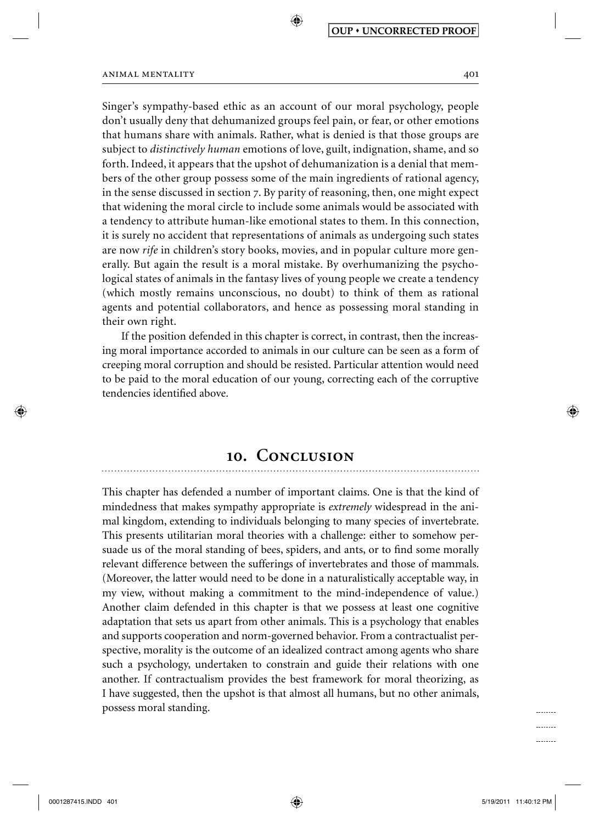Singer's sympathy-based ethic as an account of our moral psychology, people don't usually deny that dehumanized groups feel pain, or fear, or other emotions that humans share with animals. Rather, what is denied is that those groups are subject to *distinctively human* emotions of love, guilt, indignation, shame, and so forth. Indeed, it appears that the upshot of dehumanization is a denial that members of the other group possess some of the main ingredients of rational agency, in the sense discussed in section 7. By parity of reasoning, then, one might expect that widening the moral circle to include some animals would be associated with a tendency to attribute human-like emotional states to them. In this connection, it is surely no accident that representations of animals as undergoing such states are now *rife* in children's story books, movies, and in popular culture more generally. But again the result is a moral mistake. By overhumanizing the psychological states of animals in the fantasy lives of young people we create a tendency (which mostly remains unconscious, no doubt) to think of them as rational agents and potential collaborators, and hence as possessing moral standing in their own right.

♠

 If the position defended in this chapter is correct, in contrast, then the increasing moral importance accorded to animals in our culture can be seen as a form of creeping moral corruption and should be resisted. Particular attention would need to be paid to the moral education of our young, correcting each of the corruptive tendencies identified above.

### **10. Conclusion**

 This chapter has defended a number of important claims. One is that the kind of mindedness that makes sympathy appropriate is *extremely* widespread in the animal kingdom, extending to individuals belonging to many species of invertebrate. This presents utilitarian moral theories with a challenge: either to somehow persuade us of the moral standing of bees, spiders, and ants, or to find some morally relevant difference between the sufferings of invertebrates and those of mammals. (Moreover, the latter would need to be done in a naturalistically acceptable way, in my view, without making a commitment to the mind-independence of value.) Another claim defended in this chapter is that we possess at least one cognitive adaptation that sets us apart from other animals. This is a psychology that enables and supports cooperation and norm-governed behavior. From a contractualist perspective, morality is the outcome of an idealized contract among agents who share such a psychology, undertaken to constrain and guide their relations with one another. If contractualism provides the best framework for moral theorizing, as I have suggested, then the upshot is that almost all humans, but no other animals, possess moral standing.

⊕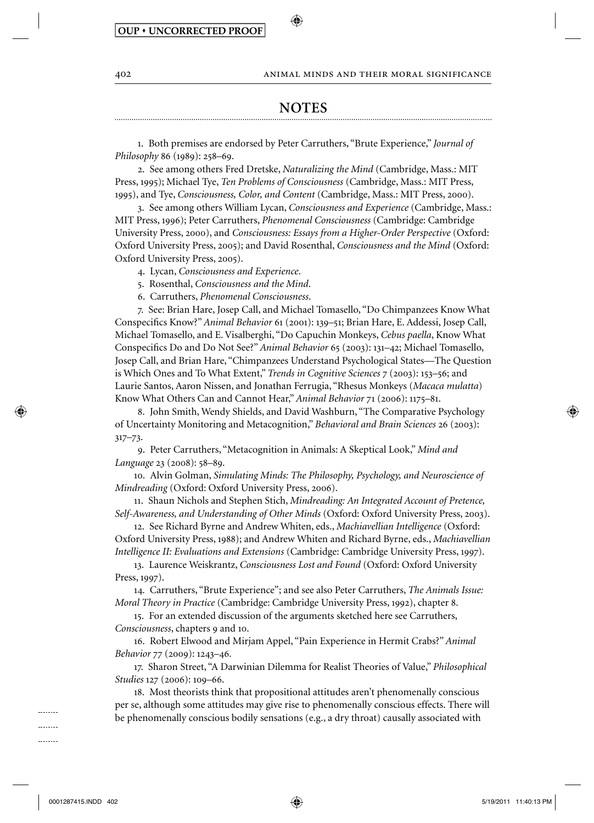OUP . UNCORRECTED PROOF

402 **animal minds and their moral significance** 

#### **NOTES**

⊕

 1. Both premises are endorsed by Peter Carruthers , "Brute Experience," *Journal of Philosophy* 86 (1989): 258–69 .

2. See among others Fred Dretske, *Naturalizing the Mind* (Cambridge, Mass.: MIT Press, 1995); Michael Tye, *Ten Problems of Consciousness* (Cambridge, Mass.: MIT Press, 1995) , and Tye , *Consciousness, Color, and Content* (Cambridge, Mass.: MIT Press, 2000) .

 3. See among others William Lycan , *Consciousness and Experience* (Cambridge, Mass.: MIT Press, 1996); Peter Carruthers, *Phenomenal Consciousness* (Cambridge: Cambridge University Press, 2000) , and *Consciousness: Essays from a Higher-Order Perspective* (Oxford: Oxford University Press, 2005) ; and David Rosenthal , *Consciousness and the Mind* (Oxford: Oxford University Press, 2005) .

4. Lycan, *Consciousness and Experience* .

5. Rosenthal, *Consciousness and the Mind* .

6. Carruthers, *Phenomenal Consciousness* .

 7. See: Brian Hare , Josep Call , and Michael Tomasello , "Do Chimpanzees Know What Conspecifics Know?" *Animal Behavior* 61 (2001): 139–51; Brian Hare, E. Addessi, Josep Call, Michael Tomasello , and E. Visalberghi , "Do Capuchin Monkeys, *Cebus paella* , Know What Conspecifics Do and Do Not See?" *Animal Behavior* 65 (2003): 131-42; Michael Tomasello, Josep Call , and Brian Hare , "Chimpanzees Understand Psychological States—The Question is Which Ones and To What Extent," *Trends in Cognitive Sciences* 7 (2003): 153–56 ; and Laurie Santos, Aaron Nissen, and Jonathan Ferrugia, "Rhesus Monkeys (Macaca mulatta) Know What Others Can and Cannot Hear," *Animal Behavior* 71 (2006): 1175–81 .

8. John Smith, Wendy Shields, and David Washburn, "The Comparative Psychology of Uncertainty Monitoring and Metacognition," *Behavioral and Brain Sciences* 26 (2003): 317–73.

9. Peter Carruthers, "Metacognition in Animals: A Skeptical Look," Mind and *Language* 23 (2008): 58–89.

10. Alvin Golman, Simulating Minds: The Philosophy, Psychology, and Neuroscience of *Mindreading* (Oxford: Oxford University Press, 2006).

 11. Shaun Nichols and Stephen Stich , *Mindreading: An Integrated Account of Pretence, Self-Awareness, and Understanding of Other Minds* (Oxford: Oxford University Press, 2003).

 12. See Richard Byrne and Andrew Whiten , eds., *Machiavellian Intelligence* (Oxford: Oxford University Press, 1988) ; and Andrew Whiten and Richard Byrne , eds., *Machiavellian Intelligence II: Evaluations and Extensions* (Cambridge: Cambridge University Press, 1997) .

13. Laurence Weiskrantz, *Consciousness Lost and Found* (Oxford: Oxford University Press, 1997).

 14. Carruthers, "Brute Experience"; and see also Peter Carruthers , *The Animals Issue: Moral Theory in Practice* (Cambridge: Cambridge University Press, 1992) , chapter 8 .

 15. For an extended discussion of the arguments sketched here see Carruthers, *Consciousness*, chapters 9 and 10.

16. Robert Elwood and Mirjam Appel, "Pain Experience in Hermit Crabs?" Animal *Behavior* 77 (2009): 1243–46.

 17. Sharon Street , "A Darwinian Dilemma for Realist Theories of Value," *Philosophical Studies* 127 (2006): 109–66.

 18. Most theorists think that propositional attitudes aren't phenomenally conscious per se, although some attitudes may give rise to phenomenally conscious effects. There will be phenomenally conscious bodily sensations (e.g., a dry throat) causally associated with

⊕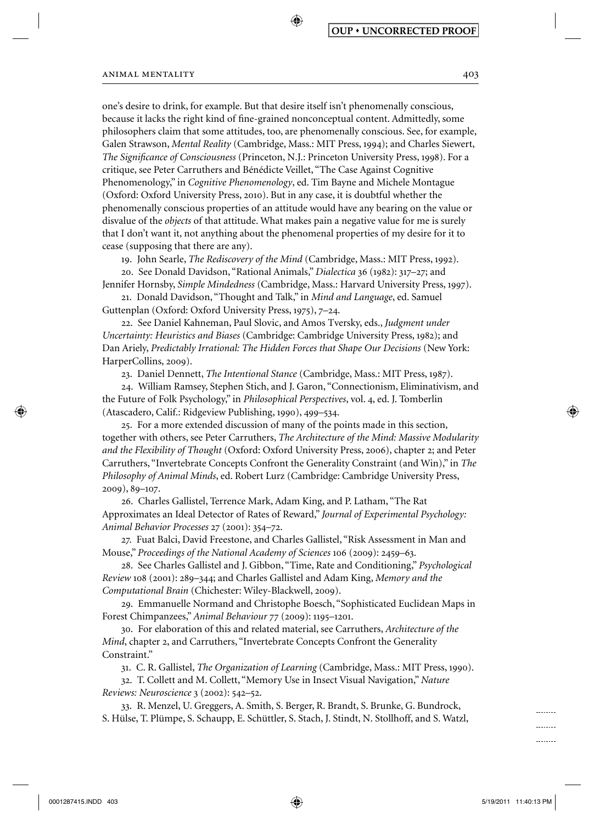one's desire to drink, for example. But that desire itself isn't phenomenally conscious, because it lacks the right kind of fine-grained nonconceptual content. Admittedly, some philosophers claim that some attitudes, too, are phenomenally conscious. See, for example, Galen Strawson, *Mental Reality* (Cambridge, Mass.: MIT Press, 1994); and Charles Siewert, *The Significance of Consciousness* (Princeton, N.J.: Princeton University Press, 1998). For a critique, see Peter Carruthers and Bénédicte Veillet, "The Case Against Cognitive Phenomenology," in *Cognitive Phenomenology* , ed. Tim Bayne and Michele Montague (Oxford: Oxford University Press, 2010) . But in any case, it is doubtful whether the phenomenally conscious properties of an attitude would have any bearing on the value or disvalue of the *objects* of that attitude. What makes pain a negative value for me is surely that I don't want it, not anything about the phenomenal properties of my desire for it to cease (supposing that there are any).

♠

19. John Searle, *The Rediscovery of the Mind* (Cambridge, Mass.: MIT Press, 1992).

20. See Donald Davidson, "Rational Animals," *Dialectica* 36 (1982): 317-27; and Jennifer Hornsby , *Simple Mindedness* (Cambridge, Mass.: Harvard University Press, 1997) .

21. Donald Davidson, "Thought and Talk," in *Mind and Language*, ed. Samuel Guttenplan (Oxford: Oxford University Press, 1975), 7–24.

22. See Daniel Kahneman, Paul Slovic, and Amos Tversky, eds., *Judgment under Uncertainty: Heuristics and Biases* (Cambridge: Cambridge University Press, 1982) ; and Dan Ariely , *Predictably Irrational: The Hidden Forces that Shape Our Decisions* (New York: HarperCollins, 2009).

23. Daniel Dennett, *The Intentional Stance* (Cambridge, Mass.: MIT Press, 1987).

24. William Ramsey, Stephen Stich, and J. Garon, "Connectionism, Eliminativism, and the Future of Folk Psychology," in *Philosophical Perspectives* , vol. 4, ed. J. Tomberlin (Atascadero, Calif.: Ridgeview Publishing, 1990), 499–534.

 25. For a more extended discussion of many of the points made in this section, together with others, see Peter Carruthers, *The Architecture of the Mind: Massive Modularity and the Flexibility of Thought* (Oxford: Oxford University Press, 2006), chapter 2; and Peter Carruthers , "Invertebrate Concepts Confront the Generality Constraint (and Win)," in *The Philosophy of Animal Minds* , ed. Robert Lurz (Cambridge: Cambridge University Press, 2009), 89–107 .

26. Charles Gallistel, Terrence Mark, Adam King, and P. Latham, "The Rat Approximates an Ideal Detector of Rates of Reward," *Journal of Experimental Psychology: Animal Behavior Processes* 27 (2001): 354–72.

27. Fuat Balci, David Freestone, and Charles Gallistel, "Risk Assessment in Man and Mouse," *Proceedings of the National Academy of Sciences* 106 (2009): 2459–63.

 28. See Charles Gallistel and J. Gibbon , "Time, Rate and Conditioning," *Psychological Review* 108 (2001): 289–344; and Charles Gallistel and Adam King, Memory and the *Computational Brain* (Chichester: Wiley-Blackwell, 2009) .

29. Emmanuelle Normand and Christophe Boesch, "Sophisticated Euclidean Maps in Forest Chimpanzees," *Animal Behaviour* 77 (2009): 1195–1201.

 30. For elaboration of this and related material, see Carruthers, *Architecture of the Mind*, chapter 2, and Carruthers, "Invertebrate Concepts Confront the Generality Constraint."

31. C. R. Gallistel, *The Organization of Learning* (Cambridge, Mass.: MIT Press, 1990).

32. T. Collett and M. Collett, "Memory Use in Insect Visual Navigation," Nature *Reviews: Neuroscience* 3 (2002): 542–52.

33. R. Menzel, U. Greggers, A. Smith, S. Berger, R. Brandt, S. Brunke, G. Bundrock, S. Hülse, T. Plümpe, S. Schaupp, E. Schüttler, S. Stach, J. Stindt, N. Stollhoff, and S. Watzl,

⊕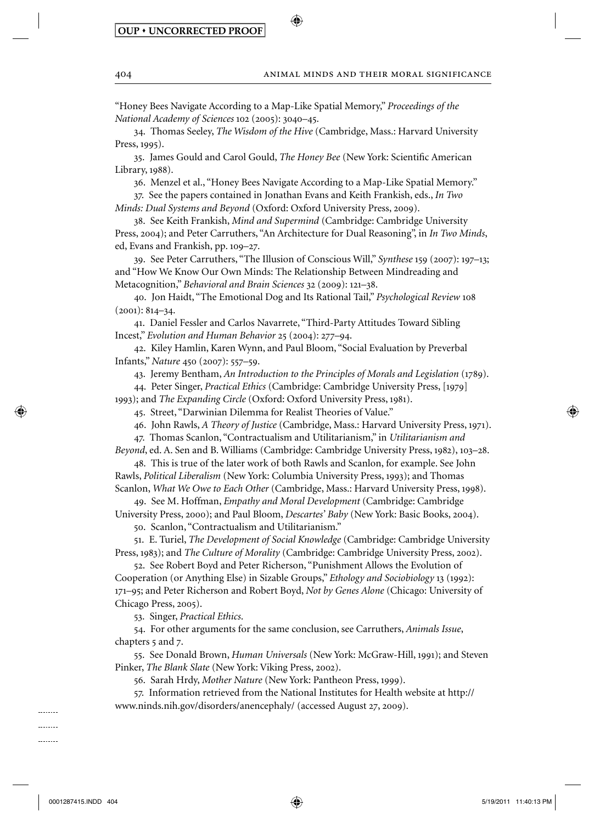"Honey Bees Navigate According to a Map-Like Spatial Memory," *Proceedings of the National Academy of Sciences* 102 (2005): 3040–45.

 34. Thomas Seeley , *The Wisdom of the Hive* (Cambridge, Mass.: Harvard University Press, 1995).

⊕

35. James Gould and Carol Gould, *The Honey Bee* (New York: Scientific American Library, 1988).

36. Menzel et al., "Honey Bees Navigate According to a Map-Like Spatial Memory."

 37. See the papers contained in Jonathan Evans and Keith Frankish , eds., *In Two Minds: Dual Systems and Beyond* (Oxford: Oxford University Press, 2009) .

38. See Keith Frankish, *Mind and Supermind* (Cambridge: Cambridge University Press, 2004) ; and Peter Carruthers, "An Architecture for Dual Reasoning", in *In Two Minds* , ed, Evans and Frankish, pp. 109–27.

 39. See Peter Carruthers , "The Illusion of Conscious Will," *Synthese* 159 (2007): 197–13 ; and "How We Know Our Own Minds: The Relationship Between Mindreading and Metacognition," *Behavioral and Brain Sciences* 32 (2009): 121–38 .

40. Jon Haidt, "The Emotional Dog and Its Rational Tail," *Psychological Review* 108  $(2001): 814 - 34.$ 

41. Daniel Fessler and Carlos Navarrete, "Third-Party Attitudes Toward Sibling Incest," *Evolution and Human Behavior* 25 (2004): 277–94.

42. Kiley Hamlin, Karen Wynn, and Paul Bloom, "Social Evaluation by Preverbal Infants," *Nature* 450 (2007): 557–59.

43. Jeremy Bentham, *An Introduction to the Principles of Morals and Legislation* (1789).

44. Peter Singer, *Practical Ethics* (Cambridge: Cambridge University Press, [1979]

1993); and *The Expanding Circle* (Oxford: Oxford University Press, 1981).

45. Street, "Darwinian Dilemma for Realist Theories of Value."

46. John Rawls , *A Theory of Justice* (Cambridge, Mass.: Harvard University Press, 1971).

47. Thomas Scanlon , "Contractualism and Utilitarianism," in *Utilitarianism and* 

*Beyond* , ed. A. Sen and B. Williams (Cambridge: Cambridge University Press, 1982), 103–28. 48. This is true of the later work of both Rawls and Scanlon, for example. See John

Rawls , *Political Liberalism* (New York: Columbia University Press, 1993) ; and Thomas Scanlon, *What We Owe to Each Other* (Cambridge, Mass.: Harvard University Press, 1998).

 49. See M. Hoffman , *Empathy and Moral Development* (Cambridge: Cambridge University Press, 2000); and Paul Bloom, *Descartes' Baby* (New York: Basic Books, 2004). 50. Scanlon, "Contractualism and Utilitarianism."

51. E. Turiel, *The Development of Social Knowledge* (Cambridge: Cambridge University Press, 1983) ; and *The Culture of Morality* (Cambridge: Cambridge University Press, 2002) .

52. See Robert Boyd and Peter Richerson, "Punishment Allows the Evolution of Cooperation (or Anything Else) in Sizable Groups," *Ethology and Sociobiology* 13 (1992): 171–95 ; and Peter Richerson and Robert Boyd , *Not by Genes Alone* (Chicago: University of Chicago Press, 2005).

53. Singer, *Practical Ethics* .

 54. For other arguments for the same conclusion, see Carruthers, *Animals Issue* , chapters 5 and 7.

 55. See Donald Brown , *Human Universals* (New York: McGraw-Hill, 1991) ; and Steven Pinker, *The Blank Slate* (New York: Viking Press, 2002).

56. Sarah Hrdy, *Mother Nature* (New York: Pantheon Press, 1999).

 57. Information retrieved from the National Institutes for Health website at http:// www.ninds.nih.gov/disorders/anencephaly/ (accessed August 27, 2009).

⊕

0001287415.INDD 404 0001287415.INDD 404 0001287415.INDD 5/19/2011 11:40:13 PM  $\bigoplus$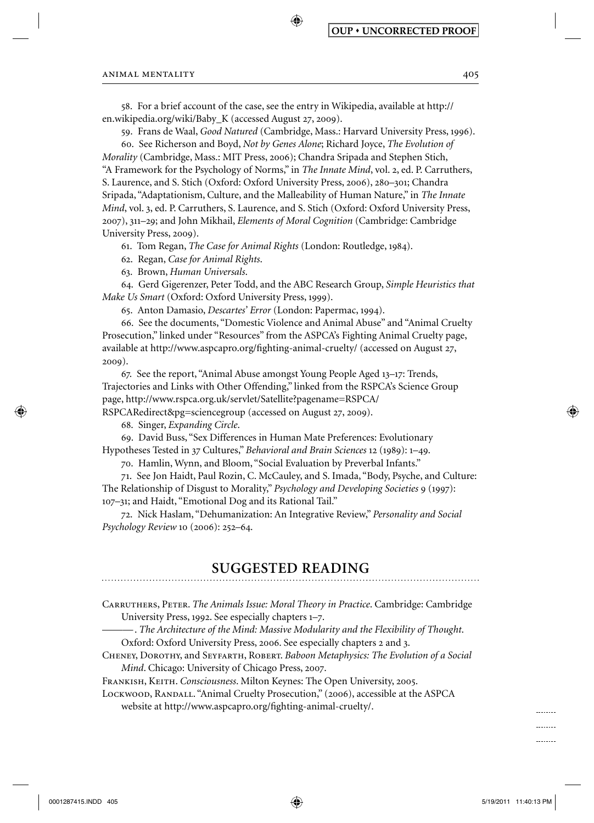58. For a brief account of the case, see the entry in Wikipedia, available at http:// en.wikipedia.org/wiki/Baby\_K (accessed August 27, 2009).

59. Frans de Waal, *Good Natured* (Cambridge, Mass.: Harvard University Press, 1996).

♠

60. See Richerson and Boyd, *Not by Genes Alone*; Richard Joyce, *The Evolution of Morality* (Cambridge, Mass.: MIT Press, 2006); Chandra Sripada and Stephen Stich, "A Framework for the Psychology of Norms," in *The Innate Mind*, vol. 2, ed. P. Carruthers, S. Laurence, and S. Stich (Oxford: Oxford University Press, 2006), 280-301; Chandra Sripada , "Adaptationism, Culture, and the Malleability of Human Nature," in *The Innate Mind*, vol. 3, ed. P. Carruthers, S. Laurence, and S. Stich (Oxford: Oxford University Press, 2007), 311–29 ; and John Mikhail , *Elements of Moral Cognition* (Cambridge: Cambridge University Press, 2009).

61. Tom Regan, *The Case for Animal Rights* (London: Routledge, 1984).

62. Regan, *Case for Animal Rights* .

63. Brown, *Human Universals* .

 64. Gerd Gigerenzer , Peter Todd , and the ABC Research Group, *Simple Heuristics that Make Us Smart* (Oxford: Oxford University Press, 1999).

65. Anton Damasio, *Descartes' Error* (London: Papermac, 1994).

 66. See the documents, "Domestic Violence and Animal Abuse" and "Animal Cruelty Prosecution," linked under "Resources" from the ASPCA's Fighting Animal Cruelty page, available at http://www.aspcapro.org/fighting-animal-cruelty/ (accessed on August 27, 2009).

 67. See the report, "Animal Abuse amongst Young People Aged 13–17: Trends, Trajectories and Links with Other Offending," linked from the RSPCA's Science Group page, http://www.rspca.org.uk/servlet/Satellite?pagename=RSPCA/ RSPCARedirect&pg=sciencegroup (accessed on August 27, 2009).

68. Singer, *Expanding Circle* .

69. David Buss, "Sex Differences in Human Mate Preferences: Evolutionary Hypotheses Tested in 37 Cultures," *Behavioral and Brain Sciences* 12 (1989): 1–49.

70. Hamlin, Wynn, and Bloom, "Social Evaluation by Preverbal Infants."

71. See Jon Haidt, Paul Rozin, C. McCauley, and S. Imada, "Body, Psyche, and Culture: The Relationship of Disgust to Morality," *Psychology and Developing Societies* 9 (1997): 107–31 ; and Haidt, "Emotional Dog and its Rational Tail."

 72. Nick Haslam , "Dehumanization: An Integrative Review," *Personality and Social Psychology Review* 10 (2006): 252–64.

#### **SUGGESTED READING**

Carruthers, Peter . *The Animals Issue: Moral Theory in Practice* . Cambridge: Cambridge University Press, 1992. See especially chapters 1–7.

 ——— . *The Architecture of the Mind: Massive Modularity and the Flexibility of Thought* . Oxford: Oxford University Press, 2006. See especially chapters 2 and 3 .

Cheney, Dorothy , and Seyfarth, Robert . *Baboon Metaphysics: The Evolution of a Social* 

*Mind* . Chicago: University of Chicago Press, 2007.

Frankish, Keith . *Consciousness* . Milton Keynes: The Open University, 2005.

Lockwood, Randall . "Animal Cruelty Prosecution," (2006), accessible at the ASPCA website at http://www.aspcapro.org/fighting-animal-cruelty/.

⊕